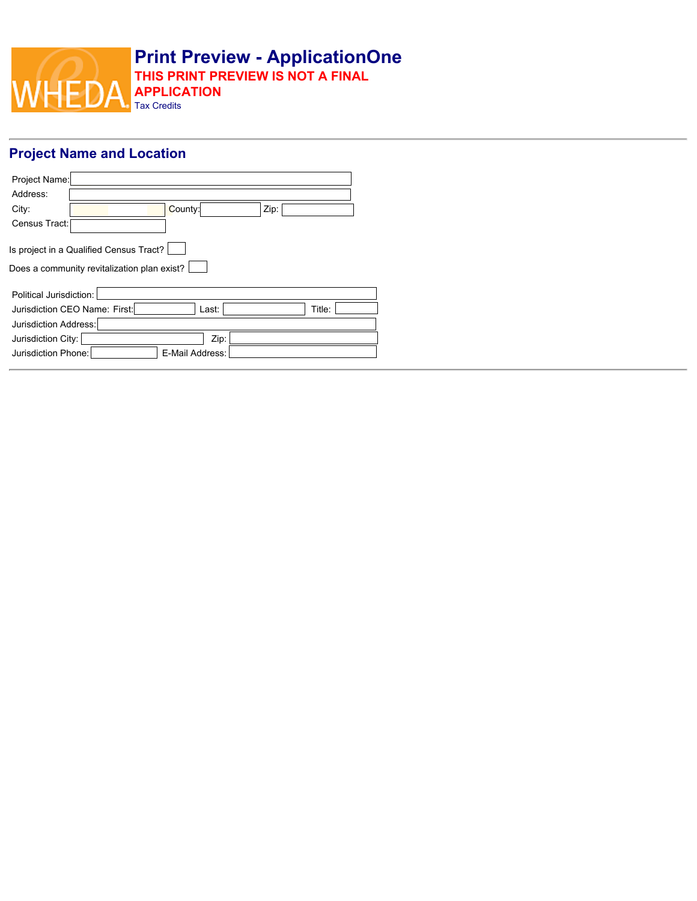

# **Project Name and Location**

| Project Name:           |                                                  |
|-------------------------|--------------------------------------------------|
| Address:                |                                                  |
| City:                   | Zip:<br>County:                                  |
| Census Tract:           |                                                  |
|                         | Is project in a Qualified Census Tract? [        |
|                         | Does a community revitalization plan exist?      |
| Political Jurisdiction: |                                                  |
|                         | Jurisdiction CEO Name: First:<br>Title:<br>Last: |
| Jurisdiction Address:   |                                                  |
| Jurisdiction City:      | Zip:                                             |
| Jurisdiction Phone:     | E-Mail Address:                                  |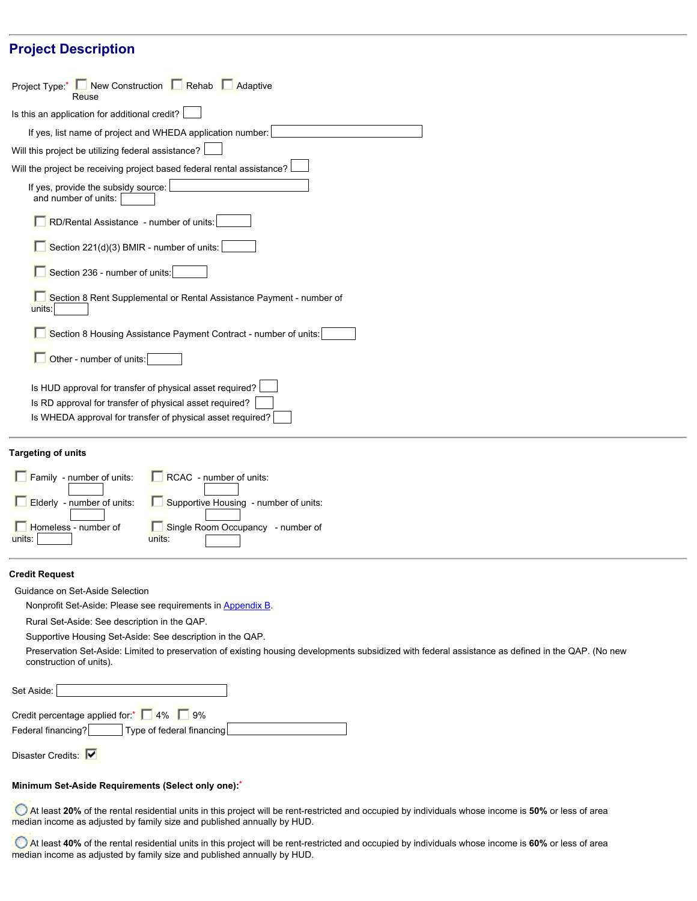### **Project Description**

| New Construction Rehab Adaptive<br>Project Type:*<br>Reuse                                                                                                                        |
|-----------------------------------------------------------------------------------------------------------------------------------------------------------------------------------|
| Is this an application for additional credit?                                                                                                                                     |
| If yes, list name of project and WHEDA application number:                                                                                                                        |
| Will this project be utilizing federal assistance?                                                                                                                                |
| Will the project be receiving project based federal rental assistance?                                                                                                            |
| If yes, provide the subsidy source:<br>and number of units:                                                                                                                       |
| RD/Rental Assistance - number of units:                                                                                                                                           |
| Section 221(d)(3) BMIR - number of units:                                                                                                                                         |
| Section 236 - number of units:                                                                                                                                                    |
| Section 8 Rent Supplemental or Rental Assistance Payment - number of<br>units:                                                                                                    |
| Section 8 Housing Assistance Payment Contract - number of units:                                                                                                                  |
| Other - number of units:                                                                                                                                                          |
| Is HUD approval for transfer of physical asset required?<br>Is RD approval for transfer of physical asset required?<br>Is WHEDA approval for transfer of physical asset required? |
|                                                                                                                                                                                   |

#### **Targeting of units**

| Family - number of units:      | $\blacksquare$ RCAC - number of units:      |
|--------------------------------|---------------------------------------------|
| Elderly - number of units:     | Supportive Housing - number of units:       |
| Homeless - number of<br>units: | Single Room Occupancy - number of<br>units: |

#### **Credit Request**

Guidance on Set-Aside Selection

Nonprofit Set-Aside: Please see requirements in [Appendix B.](https://www.wheda.com/TCA_Appendices_09/Appx%20B_09.pdf)

Rural Set-Aside: See description in the QAP.

Supportive Housing Set-Aside: See description in the QAP.

 Preservation Set-Aside: Limited to preservation of existing housing developments subsidized with federal assistance as defined in the QAP. (No new construction of units).

Set Aside:

Credit percentage applied for:<sup>\*</sup> 4% **6** 9%

Federal financing?<br>Type of federal financing

Disaster Credits: V

#### **Minimum Set-Aside Requirements (Select only one):\***

At least **20%** of the rental residential units in this project will be rent-restricted and occupied by individuals whose income is **50%** or less of area median income as adjusted by family size and published annually by HUD.

At least **40%** of the rental residential units in this project will be rent-restricted and occupied by individuals whose income is **60%** or less of area median income as adjusted by family size and published annually by HUD.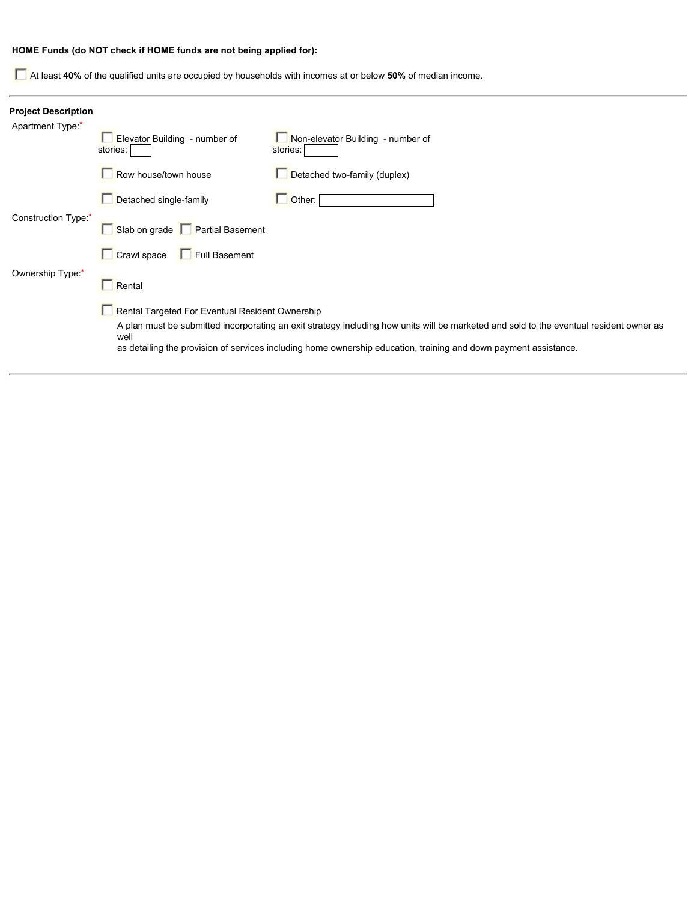#### **HOME Funds (do NOT check if HOME funds are not being applied for):**

At least **40%** of the qualified units are occupied by households with incomes at or below **50%** of median income.

| <b>Project Description</b><br>Apartment Type:* |                                                 |                                                                                                                                                                                                                                                             |
|------------------------------------------------|-------------------------------------------------|-------------------------------------------------------------------------------------------------------------------------------------------------------------------------------------------------------------------------------------------------------------|
|                                                | Elevator Building - number of<br>stories:       | Non-elevator Building - number of<br>stories:                                                                                                                                                                                                               |
|                                                | Row house/town house                            | Detached two-family (duplex)                                                                                                                                                                                                                                |
|                                                | Detached single-family                          | Other:                                                                                                                                                                                                                                                      |
| Construction Type:*                            | Slab on grade <b>Partial Basement</b>           |                                                                                                                                                                                                                                                             |
|                                                | Crawl space<br><b>Full Basement</b>             |                                                                                                                                                                                                                                                             |
| Ownership Type:*                               | Rental                                          |                                                                                                                                                                                                                                                             |
|                                                | Rental Targeted For Eventual Resident Ownership |                                                                                                                                                                                                                                                             |
|                                                | well                                            | A plan must be submitted incorporating an exit strategy including how units will be marketed and sold to the eventual resident owner as<br>as detailing the provision of services including home ownership education, training and down payment assistance. |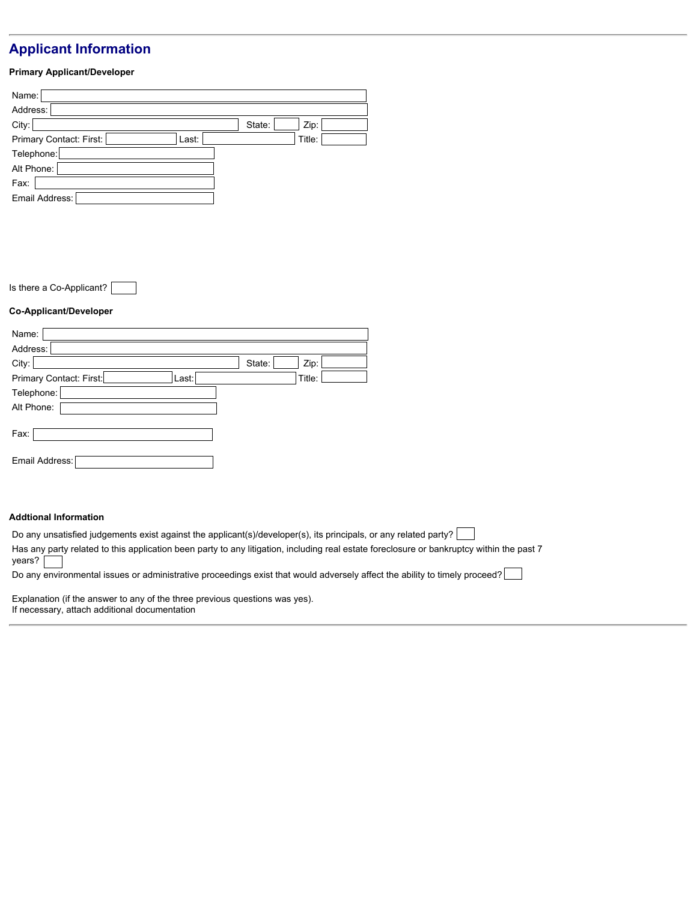### **Applicant Information**

#### **Primary Applicant/Developer**

| Name:                            |                |
|----------------------------------|----------------|
| Address:                         |                |
| City:                            | State:<br>Zip: |
| Primary Contact: First:<br>Last: | Title:         |
| Telephone:                       |                |
| Alt Phone:                       |                |
| Fax:                             |                |
| Email Address:                   |                |

Is there a Co-Applicant?  $\lceil$ 

#### **Co-Applicant/Developer**

| Name:                            |        |        |
|----------------------------------|--------|--------|
| Address:                         |        |        |
| City:                            | State: | Zip:   |
| Primary Contact: First:<br>Last: |        | Title: |
| Telephone:                       |        |        |
| Alt Phone:                       |        |        |
|                                  |        |        |
| Fax:                             |        |        |
|                                  |        |        |
| Email Address:                   |        |        |

#### **Addtional Information**

Do any unsatisfied judgements exist against the applicant(s)/developer(s), its principals, or any related party?

Has any party related to this application been party to any litigation, including real estate foreclosure or bankruptcy within the past 7 years? [

Do any environmental issues or administrative proceedings exist that would adversely affect the ability to timely proceed?  $\mathcal{L}$ 

Explanation (if the answer to any of the three previous questions was yes). If necessary, attach additional documentation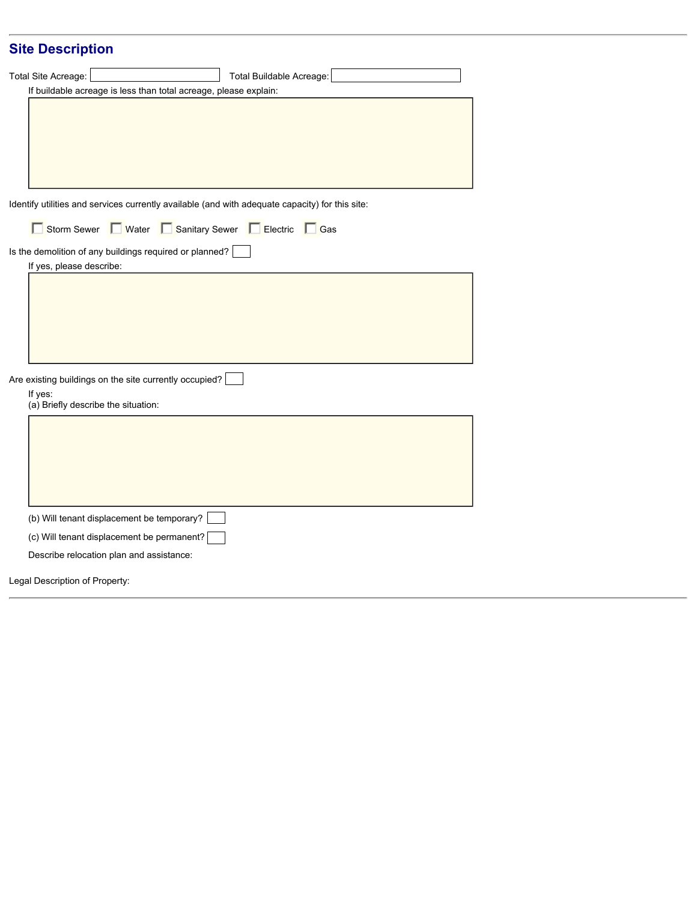# **Site Description**

| Total Site Acreage: |                                                                                                 | Total Buildable Acreage: |  |
|---------------------|-------------------------------------------------------------------------------------------------|--------------------------|--|
|                     | If buildable acreage is less than total acreage, please explain:                                |                          |  |
|                     |                                                                                                 |                          |  |
|                     |                                                                                                 |                          |  |
|                     |                                                                                                 |                          |  |
|                     |                                                                                                 |                          |  |
|                     |                                                                                                 |                          |  |
|                     |                                                                                                 |                          |  |
|                     |                                                                                                 |                          |  |
|                     | Identify utilities and services currently available (and with adequate capacity) for this site: |                          |  |
|                     |                                                                                                 |                          |  |

| Storm Sewer Water Sanitary Sewer Flectric<br>$\Box$ Gas                                                  |
|----------------------------------------------------------------------------------------------------------|
| Is the demolition of any buildings required or planned?<br>If yes, please describe:                      |
|                                                                                                          |
| Are existing buildings on the site currently occupied?<br>If yes:<br>(a) Briefly describe the situation: |
|                                                                                                          |
|                                                                                                          |
| (b) Will tenant displacement be temporary?                                                               |
| (c) Will tenant displacement be permanent?                                                               |
| Describe relocation plan and assistance:                                                                 |
| Legal Description of Property:                                                                           |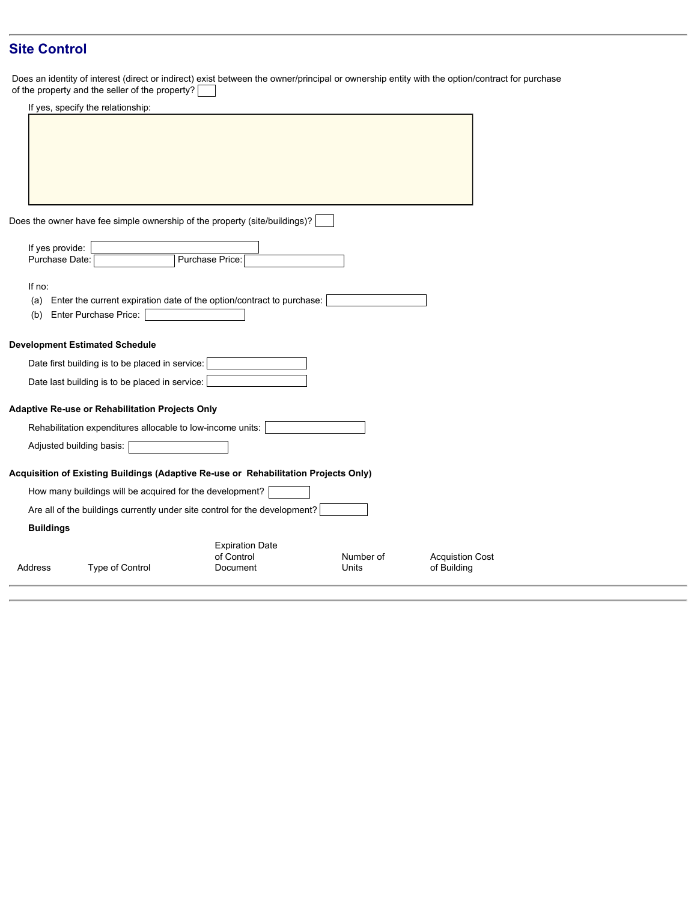### **Site Control**

of the property and the seller of the property?

|                  | If yes, specify the relationship:                                                   |                        |                    |                                       |  |
|------------------|-------------------------------------------------------------------------------------|------------------------|--------------------|---------------------------------------|--|
|                  |                                                                                     |                        |                    |                                       |  |
|                  |                                                                                     |                        |                    |                                       |  |
|                  |                                                                                     |                        |                    |                                       |  |
|                  |                                                                                     |                        |                    |                                       |  |
|                  |                                                                                     |                        |                    |                                       |  |
|                  | Does the owner have fee simple ownership of the property (site/buildings)?          |                        |                    |                                       |  |
|                  | If yes provide:                                                                     |                        |                    |                                       |  |
|                  | Purchase Date:                                                                      | Purchase Price:        |                    |                                       |  |
| If no:           |                                                                                     |                        |                    |                                       |  |
| (a)              | Enter the current expiration date of the option/contract to purchase:               |                        |                    |                                       |  |
| (b)              | Enter Purchase Price:                                                               |                        |                    |                                       |  |
|                  |                                                                                     |                        |                    |                                       |  |
|                  | <b>Development Estimated Schedule</b>                                               |                        |                    |                                       |  |
|                  | Date first building is to be placed in service:                                     |                        |                    |                                       |  |
|                  | Date last building is to be placed in service:                                      |                        |                    |                                       |  |
|                  | <b>Adaptive Re-use or Rehabilitation Projects Only</b>                              |                        |                    |                                       |  |
|                  | Rehabilitation expenditures allocable to low-income units:                          |                        |                    |                                       |  |
|                  | Adjusted building basis:                                                            |                        |                    |                                       |  |
|                  |                                                                                     |                        |                    |                                       |  |
|                  | Acquisition of Existing Buildings (Adaptive Re-use or Rehabilitation Projects Only) |                        |                    |                                       |  |
|                  | How many buildings will be acquired for the development?                            |                        |                    |                                       |  |
|                  | Are all of the buildings currently under site control for the development?          |                        |                    |                                       |  |
| <b>Buildings</b> |                                                                                     |                        |                    |                                       |  |
|                  |                                                                                     | <b>Expiration Date</b> |                    |                                       |  |
| Address          | Type of Control                                                                     | of Control<br>Document | Number of<br>Units | <b>Acquistion Cost</b><br>of Building |  |
|                  |                                                                                     |                        |                    |                                       |  |

Does an identity of interest (direct or indirect) exist between the owner/principal or ownership entity with the option/contract for purchase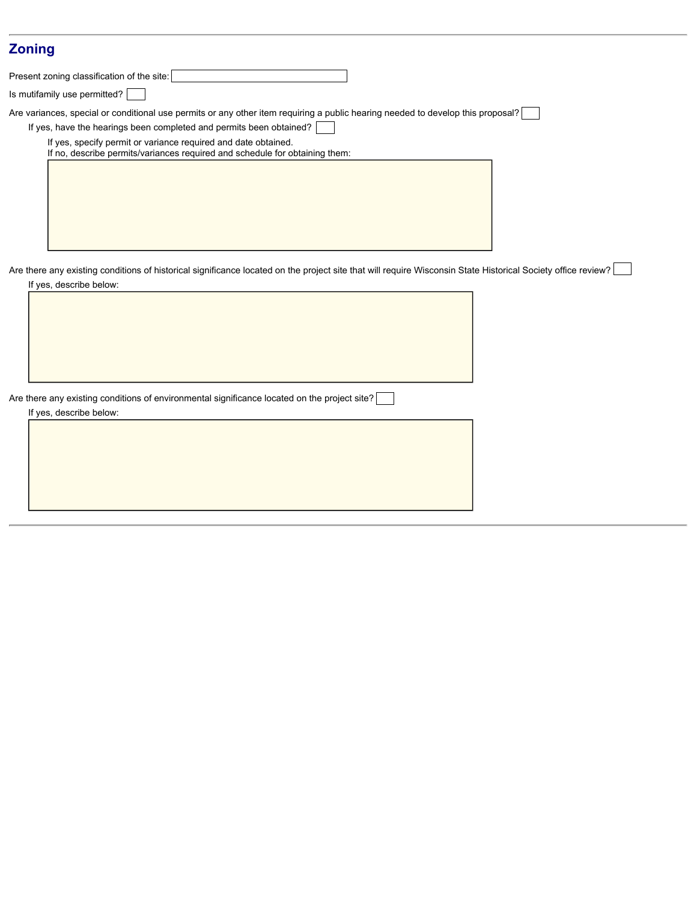### **Zoning**

Present zoning classification of the site:

Is mutifamily use permitted? |

Are variances, special or conditional use permits or any other item requiring a public hearing needed to develop this proposal?

|  | If yes, have the hearings been completed and permits been obtained? |  |  |  |  |  |
|--|---------------------------------------------------------------------|--|--|--|--|--|
|--|---------------------------------------------------------------------|--|--|--|--|--|

If yes, specify permit or variance required and date obtained.

If no, describe permits/variances required and schedule for obtaining them:

Are there any existing conditions of historical significance located on the project site that will require Wisconsin State Historical Society office review? If yes, describe below:

 $\Box$ 

Are there any existing conditions of environmental significance located on the project site?

If yes, describe below: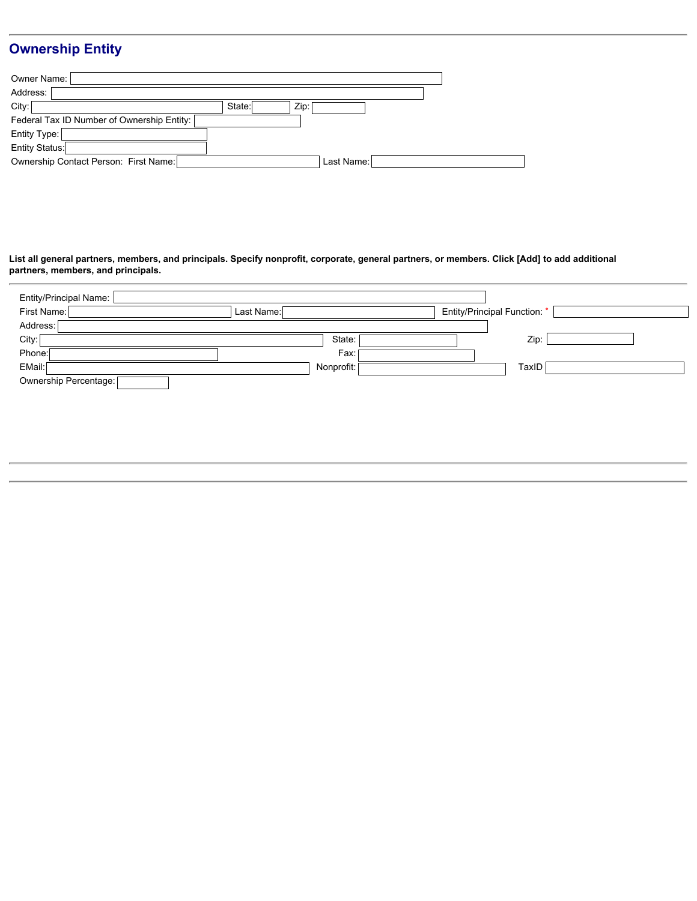## **Ownership Entity**

| Owner Name:                                |                |            |  |
|--------------------------------------------|----------------|------------|--|
| Address:                                   |                |            |  |
| City:                                      | State:<br>Zip: |            |  |
| Federal Tax ID Number of Ownership Entity: |                |            |  |
| Entity Type:                               |                |            |  |
| Entity Status:                             |                |            |  |
| Ownership Contact Person: First Name:      |                | Last Name: |  |

**List all general partners, members, and principals. Specify nonprofit, corporate, general partners, or members. Click [Add] to add additional partners, members, and principals.**

| <b>Entity/Principal Name:</b> |            |                              |
|-------------------------------|------------|------------------------------|
| First Name:                   | Last Name: | Entity/Principal Function: * |
| Address:                      |            |                              |
| City:                         | State:     | Zip:                         |
| Phone:                        | Fax:       |                              |
| EMail:                        | Nonprofit: | TaxID                        |
| Ownership Percentage: [       |            |                              |
|                               |            |                              |
|                               |            |                              |
|                               |            |                              |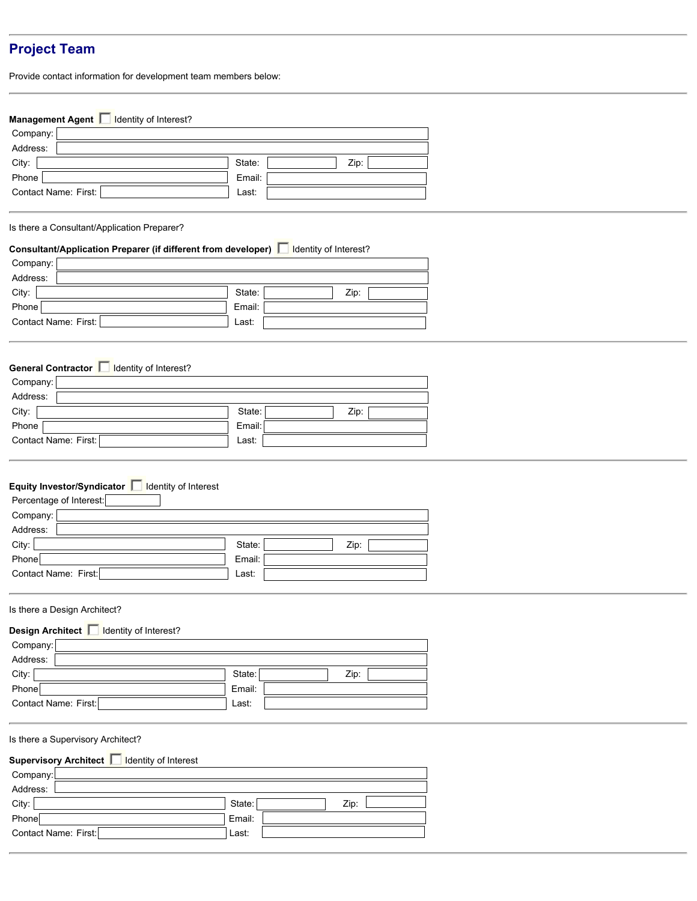### **Project Team**

Provide contact information for development team members below:

| Management Agent<br>Identity of Interest? |                |
|-------------------------------------------|----------------|
| Company:                                  |                |
| Address:                                  |                |
| City:                                     | State:<br>Zip: |
| Phone                                     | Email:         |
| Contact Name: First:                      | Last:          |

Is there a Consultant/Application Preparer?

| Consultant/Application Preparer (if different from developer)   dentity of Interest? |  |  |
|--------------------------------------------------------------------------------------|--|--|
|--------------------------------------------------------------------------------------|--|--|

| Company:             |                |
|----------------------|----------------|
| Address:             |                |
| City:                | State:<br>Zip: |
| Phone                | Email:         |
| Contact Name: First: | Last:          |

 $\overline{\phantom{0}}$ 

#### General Contractor **ID** Identity of Interest?

| Company:             |                |
|----------------------|----------------|
| Address:             |                |
| City:                | State:<br>Zip: |
| Phone                | Email:         |
| Contact Name: First: | ∟ast:          |

### Equity Investor/Syndicator **I**dentity of Interest

| Percentage of Interest: |                |
|-------------------------|----------------|
| Company:                |                |
| Address:                |                |
| City:                   | State:<br>Zip: |
| Phone                   | Email:         |
| Contact Name: First:    | Last:          |
|                         |                |

Is there a Design Architect?

### **Design Architect ID** Identity of Interest?

| Company:             |                |
|----------------------|----------------|
| Address:             |                |
| City:                | State:<br>Zip: |
| Phone                | Email:         |
| Contact Name: First: | Last:          |
|                      |                |

Is there a Supervisory Architect?

| <b>Supervisory Architect</b>   Identity of Interest |                |
|-----------------------------------------------------|----------------|
| Company:                                            |                |
| Address:                                            |                |
| City:                                               | State:<br>Zip: |
| Phone                                               | Email:         |
| Contact Name: First:                                | Last:          |
|                                                     |                |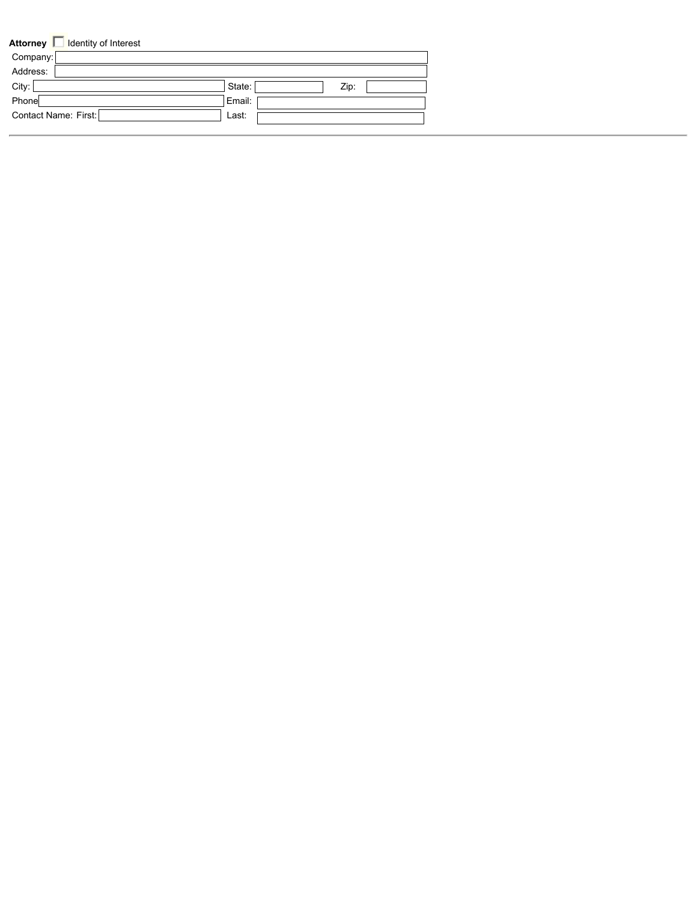| <b>Attorney</b><br>Identity of Interest |                |
|-----------------------------------------|----------------|
| Company:                                |                |
| Address:                                |                |
| City:                                   | State:<br>Zip: |
| Phone                                   | Email:         |
| Contact Name: First:                    | Last:          |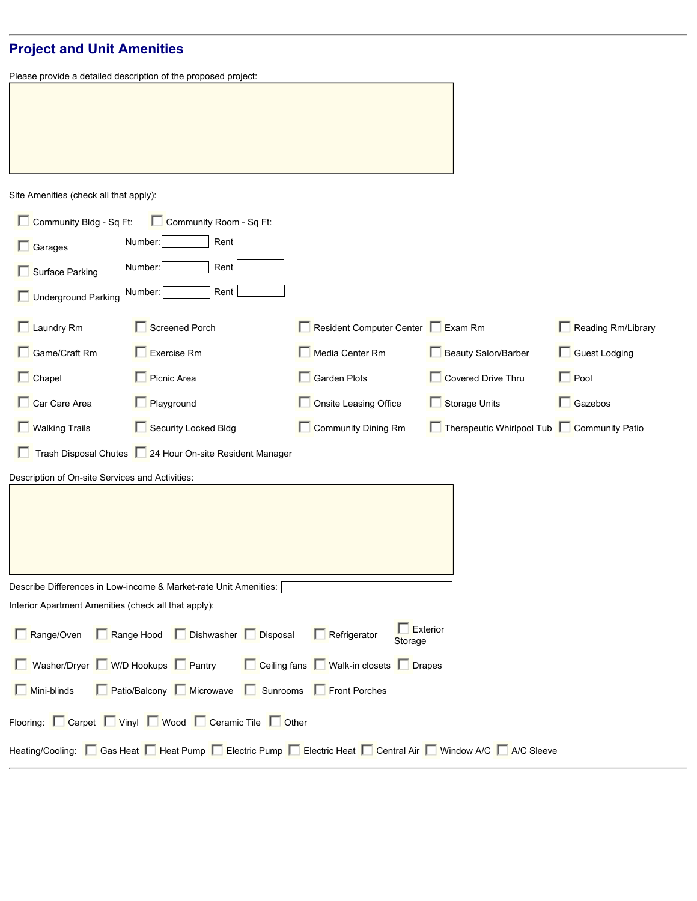# **Project and Unit Amenities**

Please provide a detailed description of the proposed project:

Site Amenities (check all that apply):

| one America (cricer all that apply).                             |                                                          |                         |                                                                                                               |                                           |                    |
|------------------------------------------------------------------|----------------------------------------------------------|-------------------------|---------------------------------------------------------------------------------------------------------------|-------------------------------------------|--------------------|
| Community Bldg - Sq Ft:                                          |                                                          | Community Room - Sq Ft: |                                                                                                               |                                           |                    |
| $\Box$ Garages                                                   | Number:                                                  | Rent                    |                                                                                                               |                                           |                    |
| Surface Parking                                                  | Number:                                                  | Rent                    |                                                                                                               |                                           |                    |
| Underground Parking                                              | Number:                                                  | Rent                    |                                                                                                               |                                           |                    |
| $\Box$ Laundry Rm                                                |                                                          | Screened Porch          | Resident Computer Center FExam Rm                                                                             |                                           | Reading Rm/Library |
| Game/Craft Rm                                                    |                                                          | Exercise Rm             | Media Center Rm                                                                                               | Beauty Salon/Barber                       | Guest Lodging      |
| $\Box$ Chapel                                                    | Picnic Area                                              |                         | Garden Plots                                                                                                  | Covered Drive Thru                        | $\Box$ Pool        |
| Car Care Area                                                    | Playground                                               |                         | Onsite Leasing Office                                                                                         | Storage Units                             | $\Box$ Gazebos     |
| <b>Nalking Trails</b>                                            |                                                          | Security Locked Bldg    | Community Dining Rm                                                                                           | Therapeutic Whirlpool Tub Community Patio |                    |
|                                                                  | Trash Disposal Chutes   24 Hour On-site Resident Manager |                         |                                                                                                               |                                           |                    |
| Description of On-site Services and Activities:                  |                                                          |                         |                                                                                                               |                                           |                    |
|                                                                  |                                                          |                         |                                                                                                               |                                           |                    |
|                                                                  |                                                          |                         |                                                                                                               |                                           |                    |
|                                                                  |                                                          |                         |                                                                                                               |                                           |                    |
| Describe Differences in Low-income & Market-rate Unit Amenities: |                                                          |                         |                                                                                                               |                                           |                    |
| Interior Apartment Amenities (check all that apply):             |                                                          |                         |                                                                                                               |                                           |                    |
| Range/Oven                                                       | Range Hood Dishwasher Disposal                           |                         | $\Box$ Refrigerator<br>Storage                                                                                | Exterior                                  |                    |
|                                                                  | Washer/Dryer W/D Hookups Pantry                          |                         | Ceiling fans Malk-in closets Dapes                                                                            |                                           |                    |
| Mini-blinds<br>ш                                                 |                                                          |                         | <b>Example 20 Billion Participal Control Property</b> Patio/Balcony El Microwave El Sunrooms El Front Porches |                                           |                    |
| Flooring: Carpet Vinyl Wood Ceramic Tile Cher                    |                                                          |                         |                                                                                                               |                                           |                    |
|                                                                  |                                                          |                         | Heating/Cooling: Cas Heat C Heat Pump C Electric Pump C Electric Heat C Central Air C Window A/C C A/C Sleeve |                                           |                    |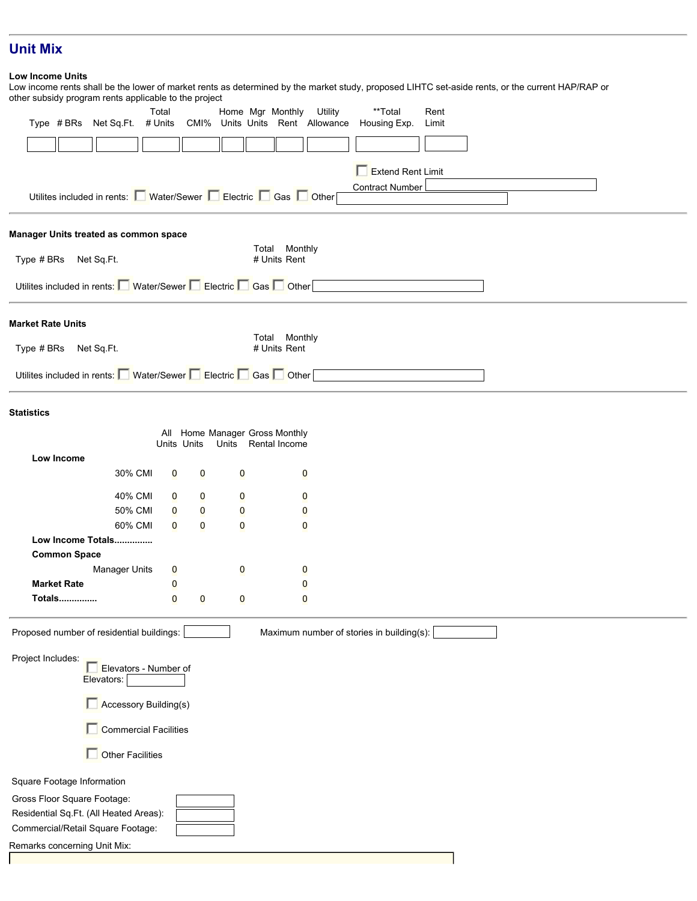#### **Unit Mix**

| Low Income Units                                              |                       |                         |             |                                |                                           |                          |                                                                                                                                                  |
|---------------------------------------------------------------|-----------------------|-------------------------|-------------|--------------------------------|-------------------------------------------|--------------------------|--------------------------------------------------------------------------------------------------------------------------------------------------|
| other subsidy program rents applicable to the project         |                       |                         |             |                                |                                           |                          | Low income rents shall be the lower of market rents as determined by the market study, proposed LIHTC set-aside rents, or the current HAP/RAP or |
|                                                               |                       | Total                   |             | Home Mgr Monthly               | Utility                                   | **Total                  | Rent                                                                                                                                             |
| Type # BRs Net Sq. Ft. # Units                                |                       |                         |             |                                | CMI% Units Units Rent Allowance           | Housing Exp.             | Limit                                                                                                                                            |
|                                                               |                       |                         |             |                                |                                           |                          |                                                                                                                                                  |
|                                                               |                       |                         |             |                                |                                           |                          |                                                                                                                                                  |
|                                                               |                       |                         |             |                                |                                           | <b>Extend Rent Limit</b> |                                                                                                                                                  |
| Utilites included in rents: Water/Sewer FEIectric FGas FOther |                       |                         |             |                                |                                           | <b>Contract Number</b>   |                                                                                                                                                  |
|                                                               |                       |                         |             |                                |                                           |                          |                                                                                                                                                  |
|                                                               |                       |                         |             |                                |                                           |                          |                                                                                                                                                  |
| Manager Units treated as common space                         |                       |                         |             |                                | Total Monthly                             |                          |                                                                                                                                                  |
| Type # BRs Net Sq.Ft.                                         |                       |                         |             |                                | # Units Rent                              |                          |                                                                                                                                                  |
|                                                               |                       |                         |             |                                |                                           |                          |                                                                                                                                                  |
| Utilites included in rents: Water/Sewer Electric Gas Cother   |                       |                         |             |                                |                                           |                          |                                                                                                                                                  |
|                                                               |                       |                         |             |                                |                                           |                          |                                                                                                                                                  |
| <b>Market Rate Units</b>                                      |                       |                         |             |                                |                                           |                          |                                                                                                                                                  |
| Type # BRs<br>Net Sq.Ft.                                      |                       |                         |             | Total                          | Monthly<br># Units Rent                   |                          |                                                                                                                                                  |
|                                                               |                       |                         |             |                                |                                           |                          |                                                                                                                                                  |
| Utilites included in rents: Water/Sewer Electric Gas Dother   |                       |                         |             |                                |                                           |                          |                                                                                                                                                  |
|                                                               |                       |                         |             |                                |                                           |                          |                                                                                                                                                  |
| <b>Statistics</b>                                             |                       |                         |             |                                |                                           |                          |                                                                                                                                                  |
|                                                               |                       |                         |             | All Home Manager Gross Monthly |                                           |                          |                                                                                                                                                  |
|                                                               |                       | Units Units             |             | Units Rental Income            |                                           |                          |                                                                                                                                                  |
| Low Income                                                    |                       |                         |             |                                |                                           |                          |                                                                                                                                                  |
|                                                               | 30% CMI               | $\bf{0}$                | $\mathbf 0$ | $\mathbf 0$                    | $\mathbf 0$                               |                          |                                                                                                                                                  |
|                                                               | 40% CMI               | $\mathbf 0$             | $\mathbf 0$ | $\bf{0}$                       | $\mathbf 0$                               |                          |                                                                                                                                                  |
|                                                               | 50% CMI               | $\bf{0}$                | $\mathbf 0$ | $\mathbf 0$                    | $\bf{0}$                                  |                          |                                                                                                                                                  |
|                                                               | 60% CMI               | $\mathbf 0$             | $\mathbf 0$ | $\mathbf 0$                    | $\mathbf 0$                               |                          |                                                                                                                                                  |
| Low Income Totals                                             |                       |                         |             |                                |                                           |                          |                                                                                                                                                  |
| <b>Common Space</b>                                           | Manager Units         |                         |             | $\bf{0}$                       | $\mathbf 0$                               |                          |                                                                                                                                                  |
| <b>Market Rate</b>                                            |                       | $\bf{0}$<br>$\mathbf 0$ |             |                                | $\mathbf 0$                               |                          |                                                                                                                                                  |
| <b>Totals</b>                                                 |                       | $\bf{0}$                | $\mathbf 0$ | $\bf{0}$                       | $\bf{0}$                                  |                          |                                                                                                                                                  |
|                                                               |                       |                         |             |                                |                                           |                          |                                                                                                                                                  |
| Proposed number of residential buildings:                     |                       |                         |             |                                | Maximum number of stories in building(s): |                          |                                                                                                                                                  |
|                                                               |                       |                         |             |                                |                                           |                          |                                                                                                                                                  |
| Project Includes:                                             | Elevators - Number of |                         |             |                                |                                           |                          |                                                                                                                                                  |
|                                                               | Elevators:            |                         |             |                                |                                           |                          |                                                                                                                                                  |
|                                                               | Accessory Building(s) |                         |             |                                |                                           |                          |                                                                                                                                                  |
|                                                               |                       |                         |             |                                |                                           |                          |                                                                                                                                                  |
|                                                               | Commercial Facilities |                         |             |                                |                                           |                          |                                                                                                                                                  |
|                                                               | Other Facilities      |                         |             |                                |                                           |                          |                                                                                                                                                  |
|                                                               |                       |                         |             |                                |                                           |                          |                                                                                                                                                  |
| Square Footage Information                                    |                       |                         |             |                                |                                           |                          |                                                                                                                                                  |
| Gross Floor Square Footage:                                   |                       |                         |             |                                |                                           |                          |                                                                                                                                                  |
| Residential Sq.Ft. (All Heated Areas):                        |                       |                         |             |                                |                                           |                          |                                                                                                                                                  |
| Commercial/Retail Square Footage:                             |                       |                         |             |                                |                                           |                          |                                                                                                                                                  |
| Remarks concerning Unit Mix:                                  |                       |                         |             |                                |                                           |                          |                                                                                                                                                  |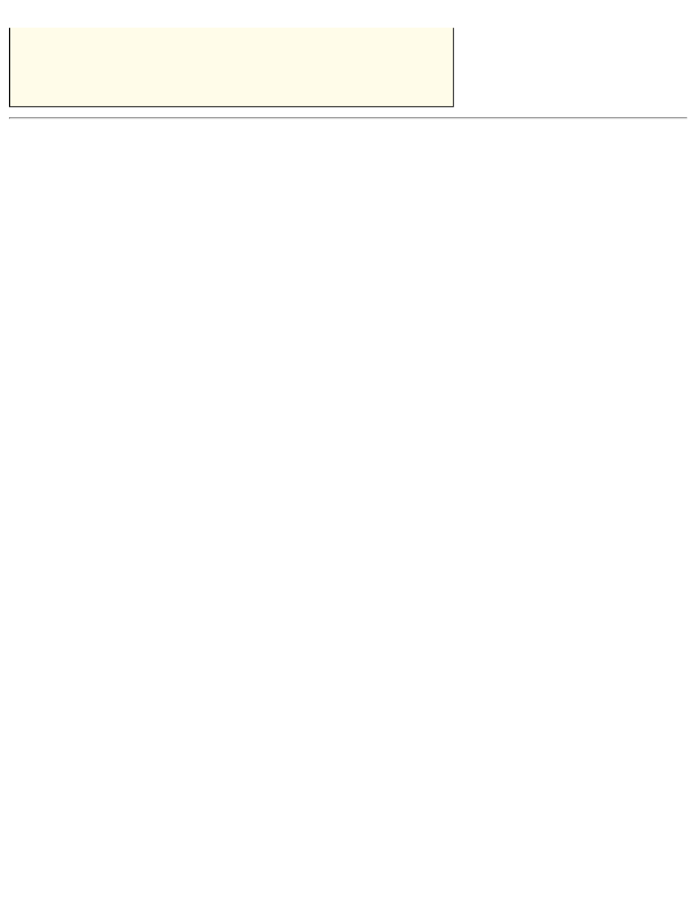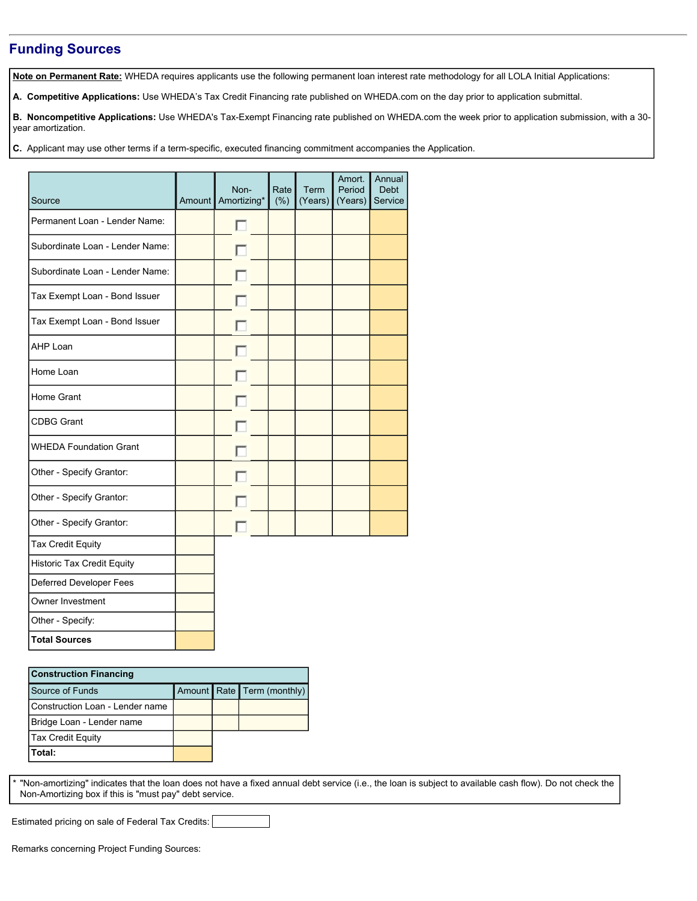### **Funding Sources**

**Note on Permanent Rate:** WHEDA requires applicants use the following permanent loan interest rate methodology for all LOLA Initial Applications:

**A. Competitive Applications:** Use WHEDA's Tax Credit Financing rate published on WHEDA.com on the day prior to application submittal.

**B. Noncompetitive Applications:** Use WHEDA's Tax-Exempt Financing rate published on WHEDA.com the week prior to application submission, with a 30 year amortization.

**C.** Applicant may use other terms if a term-specific, executed financing commitment accompanies the Application.

| Source                            | Amount I | Non-<br>Amortizing* | Rate<br>(% ) | Term<br>(Years) | Amort.<br>Period<br>(Years) | Annual<br><b>Debt</b><br>Service |
|-----------------------------------|----------|---------------------|--------------|-----------------|-----------------------------|----------------------------------|
| Permanent Loan - Lender Name:     |          |                     |              |                 |                             |                                  |
| Subordinate Loan - Lender Name:   |          |                     |              |                 |                             |                                  |
| Subordinate Loan - Lender Name:   |          |                     |              |                 |                             |                                  |
| Tax Exempt Loan - Bond Issuer     |          |                     |              |                 |                             |                                  |
| Tax Exempt Loan - Bond Issuer     |          |                     |              |                 |                             |                                  |
| <b>AHP Loan</b>                   |          |                     |              |                 |                             |                                  |
| Home Loan                         |          |                     |              |                 |                             |                                  |
| Home Grant                        |          |                     |              |                 |                             |                                  |
| <b>CDBG Grant</b>                 |          |                     |              |                 |                             |                                  |
| <b>WHEDA Foundation Grant</b>     |          |                     |              |                 |                             |                                  |
| Other - Specify Grantor:          |          |                     |              |                 |                             |                                  |
| Other - Specify Grantor:          |          |                     |              |                 |                             |                                  |
| Other - Specify Grantor:          |          |                     |              |                 |                             |                                  |
| Tax Credit Equity                 |          |                     |              |                 |                             |                                  |
| <b>Historic Tax Credit Equity</b> |          |                     |              |                 |                             |                                  |
| Deferred Developer Fees           |          |                     |              |                 |                             |                                  |
| Owner Investment                  |          |                     |              |                 |                             |                                  |
| Other - Specify:                  |          |                     |              |                 |                             |                                  |
| <b>Total Sources</b>              |          |                     |              |                 |                             |                                  |

| <b>Construction Financing</b>   |  |  |                                |  |  |  |  |
|---------------------------------|--|--|--------------------------------|--|--|--|--|
| Source of Funds                 |  |  | Amount   Rate   Term (monthly) |  |  |  |  |
| Construction Loan - Lender name |  |  |                                |  |  |  |  |
| Bridge Loan - Lender name       |  |  |                                |  |  |  |  |
| <b>Tax Credit Equity</b>        |  |  |                                |  |  |  |  |
| Total:                          |  |  |                                |  |  |  |  |

\* "Non-amortizing" indicates that the loan does not have a fixed annual debt service (i.e., the loan is subject to available cash flow). Do not check the Non-Amortizing box if this is "must pay" debt service.

Estimated pricing on sale of Federal Tax Credits: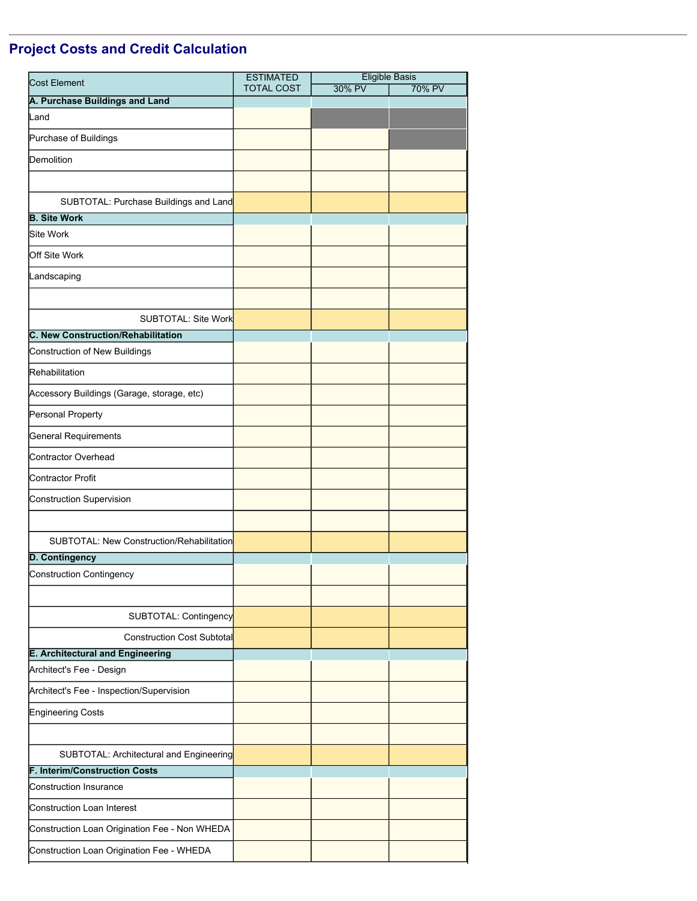# **Project Costs and Credit Calculation**

| Cost Element                                  | <b>ESTIMATED</b>  | <b>Eligible Basis</b> |        |  |
|-----------------------------------------------|-------------------|-----------------------|--------|--|
| A. Purchase Buildings and Land                | <b>TOTAL COST</b> | 30% PV                | 70% PV |  |
| Land                                          |                   |                       |        |  |
| Purchase of Buildings                         |                   |                       |        |  |
| Demolition                                    |                   |                       |        |  |
|                                               |                   |                       |        |  |
| SUBTOTAL: Purchase Buildings and Land         |                   |                       |        |  |
| <b>B. Site Work</b>                           |                   |                       |        |  |
| <b>Site Work</b>                              |                   |                       |        |  |
| Off Site Work                                 |                   |                       |        |  |
| Landscaping                                   |                   |                       |        |  |
|                                               |                   |                       |        |  |
| <b>SUBTOTAL: Site Work</b>                    |                   |                       |        |  |
| <b>C. New Construction/Rehabilitation</b>     |                   |                       |        |  |
| Construction of New Buildings                 |                   |                       |        |  |
| <b>Rehabilitation</b>                         |                   |                       |        |  |
| Accessory Buildings (Garage, storage, etc)    |                   |                       |        |  |
| Personal Property                             |                   |                       |        |  |
| <b>General Requirements</b>                   |                   |                       |        |  |
| <b>Contractor Overhead</b>                    |                   |                       |        |  |
| <b>Contractor Profit</b>                      |                   |                       |        |  |
| Construction Supervision                      |                   |                       |        |  |
|                                               |                   |                       |        |  |
| SUBTOTAL: New Construction/Rehabilitation     |                   |                       |        |  |
| D. Contingency                                |                   |                       |        |  |
| Construction Contingency                      |                   |                       |        |  |
|                                               |                   |                       |        |  |
| SUBTOTAL: Contingency                         |                   |                       |        |  |
| <b>Construction Cost Subtotal</b>             |                   |                       |        |  |
| <b>E. Architectural and Engineering</b>       |                   |                       |        |  |
| Architect's Fee - Design                      |                   |                       |        |  |
| Architect's Fee - Inspection/Supervision      |                   |                       |        |  |
| <b>Engineering Costs</b>                      |                   |                       |        |  |
|                                               |                   |                       |        |  |
| SUBTOTAL: Architectural and Engineering       |                   |                       |        |  |
| <b>F. Interim/Construction Costs</b>          |                   |                       |        |  |
| <b>Construction Insurance</b>                 |                   |                       |        |  |
| <b>Construction Loan Interest</b>             |                   |                       |        |  |
| Construction Loan Origination Fee - Non WHEDA |                   |                       |        |  |
| Construction Loan Origination Fee - WHEDA     |                   |                       |        |  |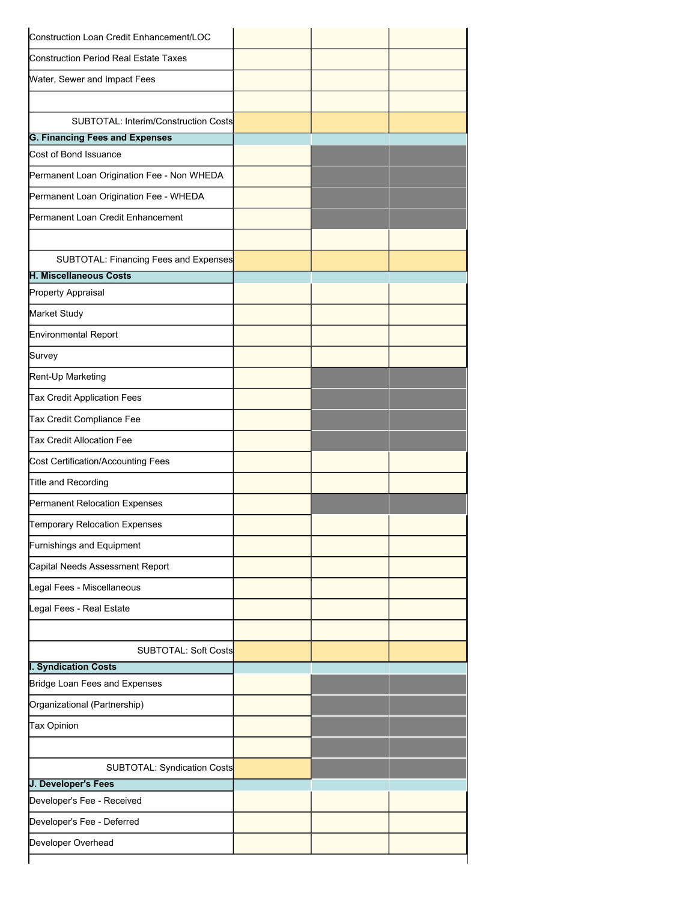| Construction Loan Credit Enhancement/LOC     |  |  |
|----------------------------------------------|--|--|
| <b>Construction Period Real Estate Taxes</b> |  |  |
| Water, Sewer and Impact Fees                 |  |  |
|                                              |  |  |
| SUBTOTAL: Interim/Construction Costs         |  |  |
| <b>G. Financing Fees and Expenses</b>        |  |  |
| Cost of Bond Issuance                        |  |  |
| Permanent Loan Origination Fee - Non WHEDA   |  |  |
| Permanent Loan Origination Fee - WHEDA       |  |  |
| Permanent Loan Credit Enhancement            |  |  |
|                                              |  |  |
| SUBTOTAL: Financing Fees and Expenses        |  |  |
| <b>H. Miscellaneous Costs</b>                |  |  |
| Property Appraisal                           |  |  |
| Market Study                                 |  |  |
| <b>Environmental Report</b>                  |  |  |
| Survey                                       |  |  |
| Rent-Up Marketing                            |  |  |
| Tax Credit Application Fees                  |  |  |
| Tax Credit Compliance Fee                    |  |  |
| Tax Credit Allocation Fee                    |  |  |
| Cost Certification/Accounting Fees           |  |  |
| Title and Recording                          |  |  |
| Permanent Relocation Expenses                |  |  |
| Temporary Relocation Expenses                |  |  |
| Furnishings and Equipment                    |  |  |
| Capital Needs Assessment Report              |  |  |
| Legal Fees - Miscellaneous                   |  |  |
| Legal Fees - Real Estate                     |  |  |
|                                              |  |  |
| <b>SUBTOTAL: Soft Costs</b>                  |  |  |
| <b>I. Syndication Costs</b>                  |  |  |
| Bridge Loan Fees and Expenses                |  |  |
| Organizational (Partnership)                 |  |  |
| Tax Opinion                                  |  |  |
|                                              |  |  |
| SUBTOTAL: Syndication Costs                  |  |  |
| J. Developer's Fees                          |  |  |
| Developer's Fee - Received                   |  |  |
| Developer's Fee - Deferred                   |  |  |
| Developer Overhead                           |  |  |
|                                              |  |  |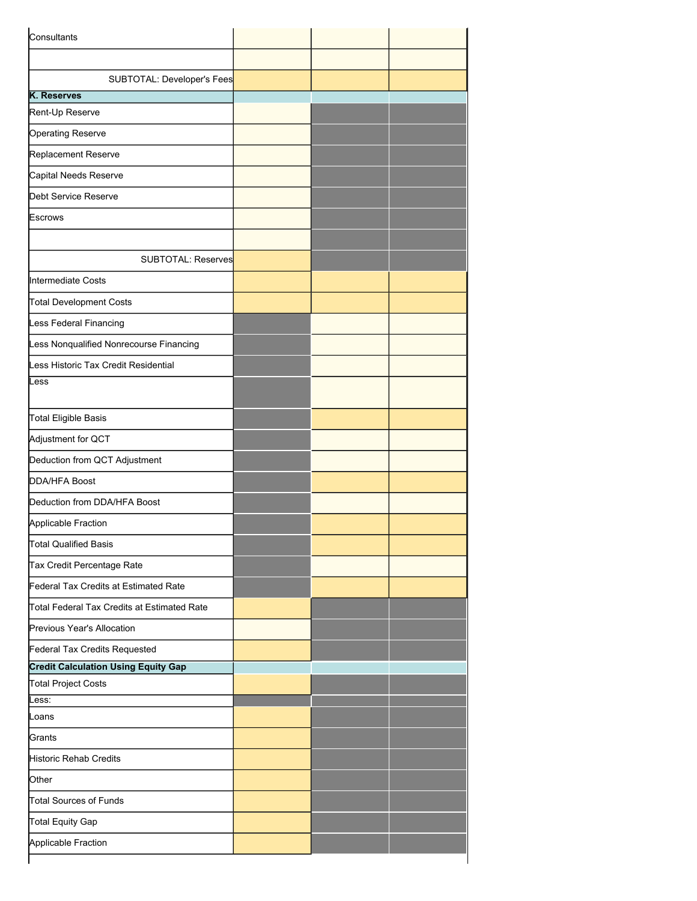| Consultants                                  |  |  |
|----------------------------------------------|--|--|
|                                              |  |  |
| SUBTOTAL: Developer's Fees                   |  |  |
| <b>K. Reserves</b>                           |  |  |
| Rent-Up Reserve                              |  |  |
| Operating Reserve                            |  |  |
| Replacement Reserve                          |  |  |
| Capital Needs Reserve                        |  |  |
| Debt Service Reserve                         |  |  |
| Escrows                                      |  |  |
|                                              |  |  |
| <b>SUBTOTAL: Reserves</b>                    |  |  |
| <b>Intermediate Costs</b>                    |  |  |
| <b>Total Development Costs</b>               |  |  |
| Less Federal Financing                       |  |  |
| Less Nonqualified Nonrecourse Financing      |  |  |
| Less Historic Tax Credit Residential         |  |  |
| _ess                                         |  |  |
|                                              |  |  |
| <b>Total Eligible Basis</b>                  |  |  |
| Adjustment for QCT                           |  |  |
| Deduction from QCT Adjustment                |  |  |
| <b>DDA/HFA Boost</b>                         |  |  |
| Deduction from DDA/HFA Boost                 |  |  |
| Applicable Fraction                          |  |  |
| <b>Total Qualified Basis</b>                 |  |  |
| Tax Credit Percentage Rate                   |  |  |
| <b>Federal Tax Credits at Estimated Rate</b> |  |  |
| Total Federal Tax Credits at Estimated Rate  |  |  |
| Previous Year's Allocation                   |  |  |
| <b>Federal Tax Credits Requested</b>         |  |  |
| <b>Credit Calculation Using Equity Gap</b>   |  |  |
| <b>Total Project Costs</b>                   |  |  |
| Less:                                        |  |  |
| Loans                                        |  |  |
| Grants                                       |  |  |
| <b>Historic Rehab Credits</b>                |  |  |
| Other                                        |  |  |
| <b>Total Sources of Funds</b>                |  |  |
| <b>Total Equity Gap</b>                      |  |  |
| Applicable Fraction                          |  |  |
|                                              |  |  |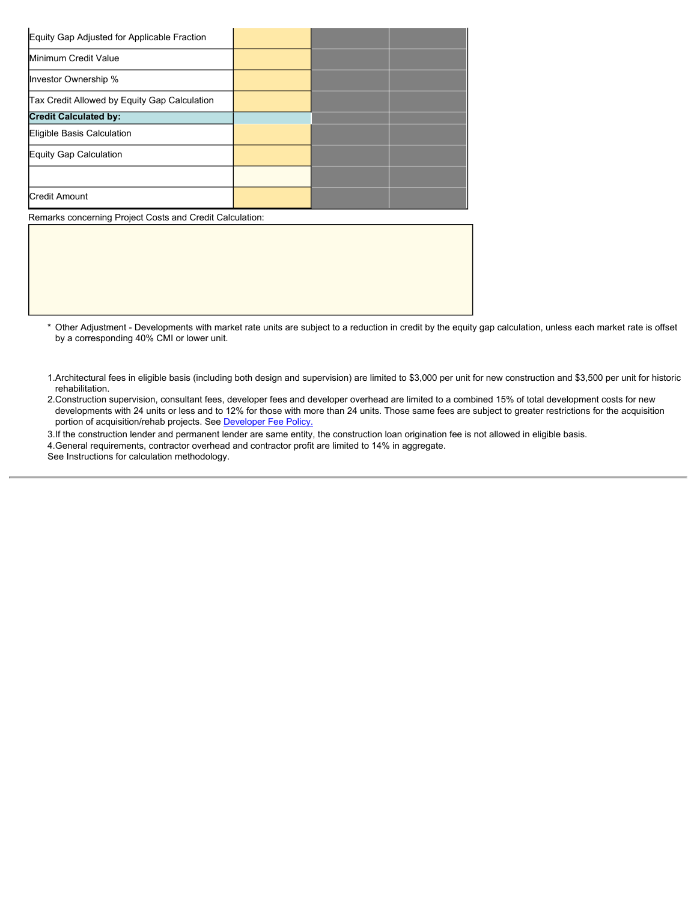| Equity Gap Adjusted for Applicable Fraction  |  |  |
|----------------------------------------------|--|--|
| Minimum Credit Value                         |  |  |
| Investor Ownership %                         |  |  |
| Tax Credit Allowed by Equity Gap Calculation |  |  |
| <b>Credit Calculated by:</b>                 |  |  |
| Eligible Basis Calculation                   |  |  |
| Equity Gap Calculation                       |  |  |
|                                              |  |  |
| <b>Credit Amount</b>                         |  |  |

Remarks concerning Project Costs and Credit Calculation:

- \* Other Adjustment Developments with market rate units are subject to a reduction in credit by the equity gap calculation, unless each market rate is offset by a corresponding 40% CMI or lower unit.
- 1.Architectural fees in eligible basis (including both design and supervision) are limited to \$3,000 per unit for new construction and \$3,500 per unit for historic rehabilitation.
- 2.Construction supervision, consultant fees, developer fees and developer overhead are limited to a combined 15% of total development costs for new developments with 24 units or less and to 12% for those with more than 24 units. Those same fees are subject to greater restrictions for the acquisition portion of acquisition/rehab projects. See [Developer Fee Policy.](https://www.wheda.com/TCA_Appendices_09/Appx%20K_09.pdf)
- 3.If the construction lender and permanent lender are same entity, the construction loan origination fee is not allowed in eligible basis.

4.General requirements, contractor overhead and contractor profit are limited to 14% in aggregate. See Instructions for calculation methodology.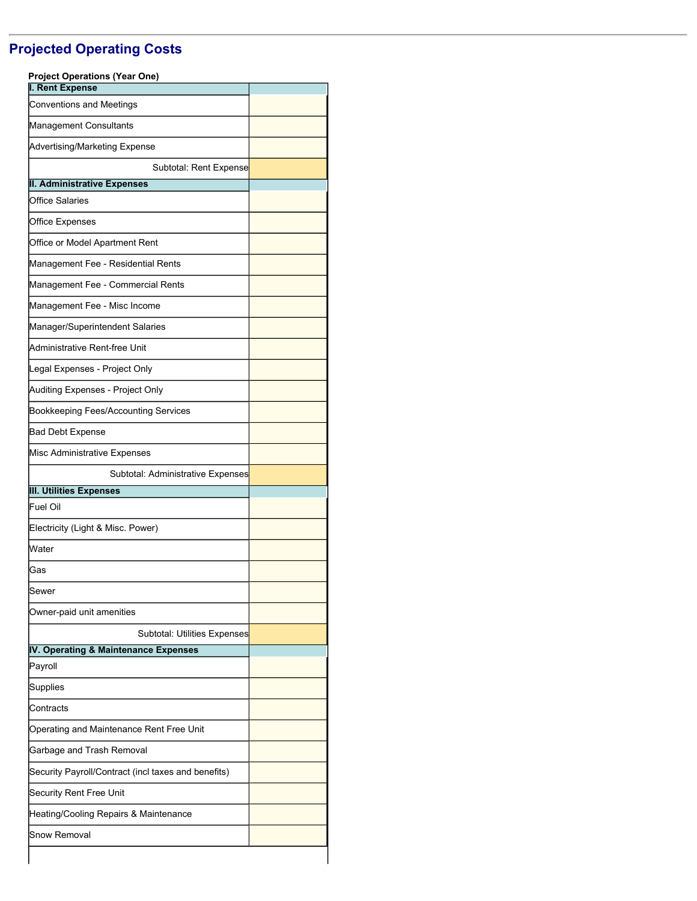# **Projected Operating Costs**

| <b>Project Operations (Year One)</b><br>I. Rent Expense |  |
|---------------------------------------------------------|--|
| <b>Conventions and Meetings</b>                         |  |
| Management Consultants                                  |  |
|                                                         |  |
| Advertising/Marketing Expense                           |  |
| Subtotal: Rent Expense<br>II. Administrative Expenses   |  |
| <b>Office Salaries</b>                                  |  |
| Office Expenses                                         |  |
| Office or Model Apartment Rent                          |  |
| Management Fee - Residential Rents                      |  |
| Management Fee - Commercial Rents                       |  |
| Management Fee - Misc Income                            |  |
| Manager/Superintendent Salaries                         |  |
| Administrative Rent-free Unit                           |  |
| Legal Expenses - Project Only                           |  |
| Auditing Expenses - Project Only                        |  |
| Bookkeeping Fees/Accounting Services                    |  |
| Bad Debt Expense                                        |  |
| Misc Administrative Expenses                            |  |
| Subtotal: Administrative Expenses                       |  |
| <b>III. Utilities Expenses</b>                          |  |
| Fuel Oil                                                |  |
| Electricity (Light & Misc. Power)                       |  |
| Water                                                   |  |
| Gas                                                     |  |
| Sewer                                                   |  |
| Owner-paid unit amenities                               |  |
| <b>Subtotal: Utilities Expenses</b>                     |  |
| IV. Operating & Maintenance Expenses                    |  |
| Payroll                                                 |  |
| Supplies                                                |  |
| Contracts                                               |  |
| Operating and Maintenance Rent Free Unit                |  |
| Garbage and Trash Removal                               |  |
| Security Payroll/Contract (incl taxes and benefits)     |  |
| Security Rent Free Unit                                 |  |
|                                                         |  |
| Heating/Cooling Repairs & Maintenance                   |  |
| Snow Removal                                            |  |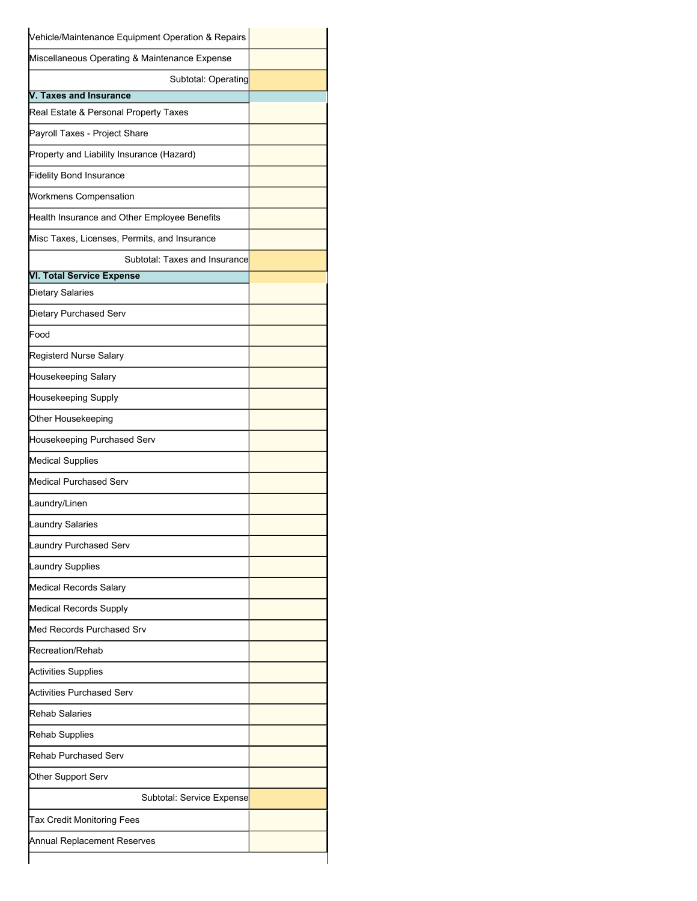| Vehicle/Maintenance Equipment Operation & Repairs |  |
|---------------------------------------------------|--|
| Miscellaneous Operating & Maintenance Expense     |  |
| Subtotal: Operating                               |  |
| <b>V. Taxes and Insurance</b>                     |  |
| Real Estate & Personal Property Taxes             |  |
| Payroll Taxes - Project Share                     |  |
| Property and Liability Insurance (Hazard)         |  |
| <b>Fidelity Bond Insurance</b>                    |  |
| <b>Workmens Compensation</b>                      |  |
| Health Insurance and Other Employee Benefits      |  |
| Misc Taxes, Licenses, Permits, and Insurance      |  |
| Subtotal: Taxes and Insurance                     |  |
| <b>VI. Total Service Expense</b>                  |  |
| Dietary Salaries                                  |  |
| Dietary Purchased Serv                            |  |
| Food                                              |  |
| Registerd Nurse Salary                            |  |
| Housekeeping Salary                               |  |
| Housekeeping Supply                               |  |
| Other Housekeeping                                |  |
| Housekeeping Purchased Serv                       |  |
| <b>Medical Supplies</b>                           |  |
| <b>Medical Purchased Serv</b>                     |  |
| Laundry/Linen                                     |  |
| <b>Laundry Salaries</b>                           |  |
| Laundry Purchased Serv                            |  |
| <b>Laundry Supplies</b>                           |  |
| <b>Medical Records Salary</b>                     |  |
| <b>Medical Records Supply</b>                     |  |
| Med Records Purchased Srv                         |  |
| Recreation/Rehab                                  |  |
| <b>Activities Supplies</b>                        |  |
| <b>Activities Purchased Serv</b>                  |  |
| <b>Rehab Salaries</b>                             |  |
| <b>Rehab Supplies</b>                             |  |
| <b>Rehab Purchased Serv</b>                       |  |
| Other Support Serv                                |  |
| Subtotal: Service Expense                         |  |
| Tax Credit Monitoring Fees                        |  |
| Annual Replacement Reserves                       |  |
|                                                   |  |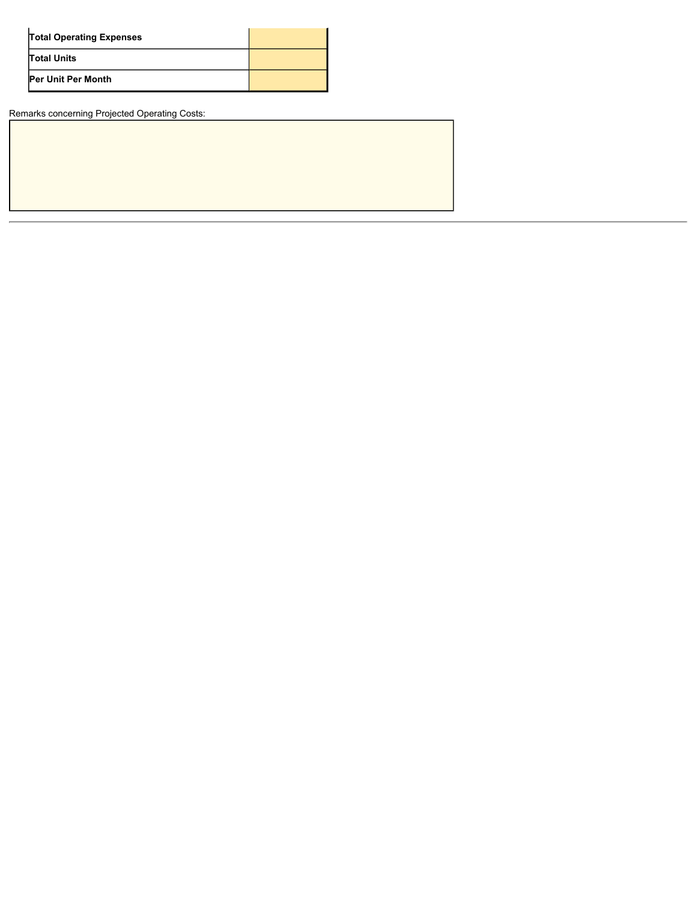| <b>Total Operating Expenses</b> |  |
|---------------------------------|--|
| <b>Total Units</b>              |  |
| <b>Per Unit Per Month</b>       |  |

Remarks concerning Projected Operating Costs: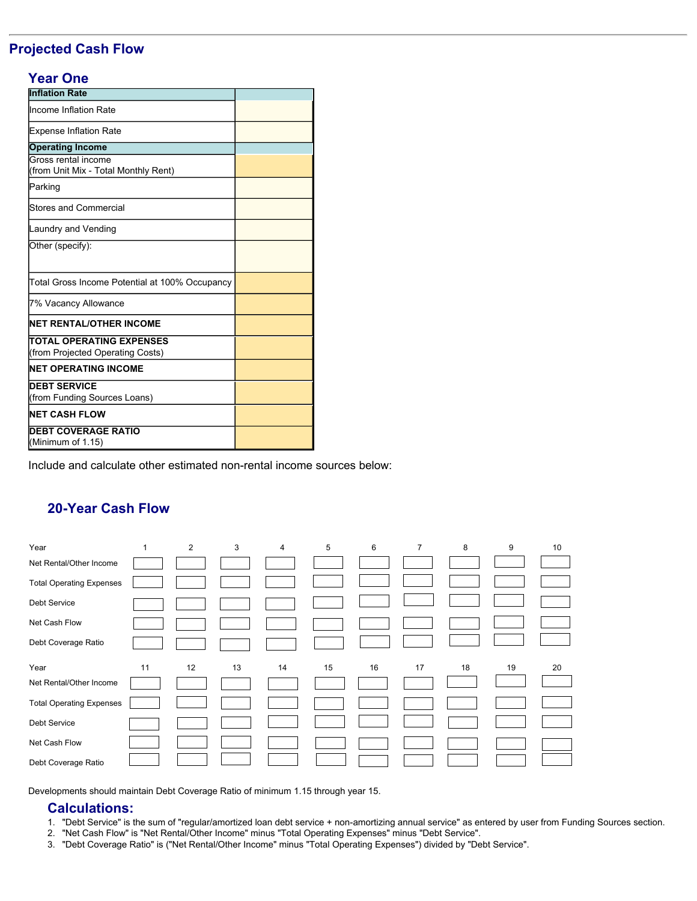### **Projected Cash Flow**

#### **Year One**

| <b>Inflation Rate</b>                                               |  |
|---------------------------------------------------------------------|--|
| Income Inflation Rate                                               |  |
| <b>Expense Inflation Rate</b>                                       |  |
| <b>Operating Income</b>                                             |  |
| Gross rental income<br>(from Unit Mix - Total Monthly Rent)         |  |
| Parking                                                             |  |
| Stores and Commercial                                               |  |
| Laundry and Vending                                                 |  |
| Other (specify):                                                    |  |
| Total Gross Income Potential at 100% Occupancy                      |  |
| 7% Vacancy Allowance                                                |  |
| <b>INET RENTAL/OTHER INCOME</b>                                     |  |
| <b>TOTAL OPERATING EXPENSES</b><br>(from Projected Operating Costs) |  |
| <b>INET OPERATING INCOME</b>                                        |  |
| <b>DEBT SERVICE</b><br>(from Funding Sources Loans)                 |  |
| <b>NET CASH FLOW</b>                                                |  |
| <b>DEBT COVERAGE RATIO</b><br>(Minimum of 1.15)                     |  |

Include and calculate other estimated non-rental income sources below:

### **20-Year Cash Flow**

| Year<br>Net Rental/Other Income | 1  | 2  | 3  | $\overline{4}$ | 5  | 6  | $\overline{7}$ | 8  | 9  | 10 |
|---------------------------------|----|----|----|----------------|----|----|----------------|----|----|----|
| <b>Total Operating Expenses</b> |    |    |    |                |    |    |                |    |    |    |
| Debt Service                    |    |    |    |                |    |    |                |    |    |    |
| Net Cash Flow                   |    |    |    |                |    |    |                |    |    |    |
| Debt Coverage Ratio             |    |    |    |                |    |    |                |    |    |    |
| Year                            | 11 | 12 | 13 | 14             | 15 | 16 | 17             | 18 | 19 | 20 |
| Net Rental/Other Income         |    |    |    |                |    |    |                |    |    |    |
| <b>Total Operating Expenses</b> |    |    |    |                |    |    |                |    |    |    |
| Debt Service                    |    |    |    |                |    |    |                |    |    |    |
| Net Cash Flow                   |    |    |    |                |    |    |                |    |    |    |
| Debt Coverage Ratio             |    |    |    |                |    |    |                |    |    |    |

Developments should maintain Debt Coverage Ratio of minimum 1.15 through year 15.

#### **Calculations:**

- 1. "Debt Service" is the sum of "regular/amortized loan debt service + non-amortizing annual service" as entered by user from Funding Sources section.
- 2. "Net Cash Flow" is "Net Rental/Other Income" minus "Total Operating Expenses" minus "Debt Service".
- 3. "Debt Coverage Ratio" is ("Net Rental/Other Income" minus "Total Operating Expenses") divided by "Debt Service".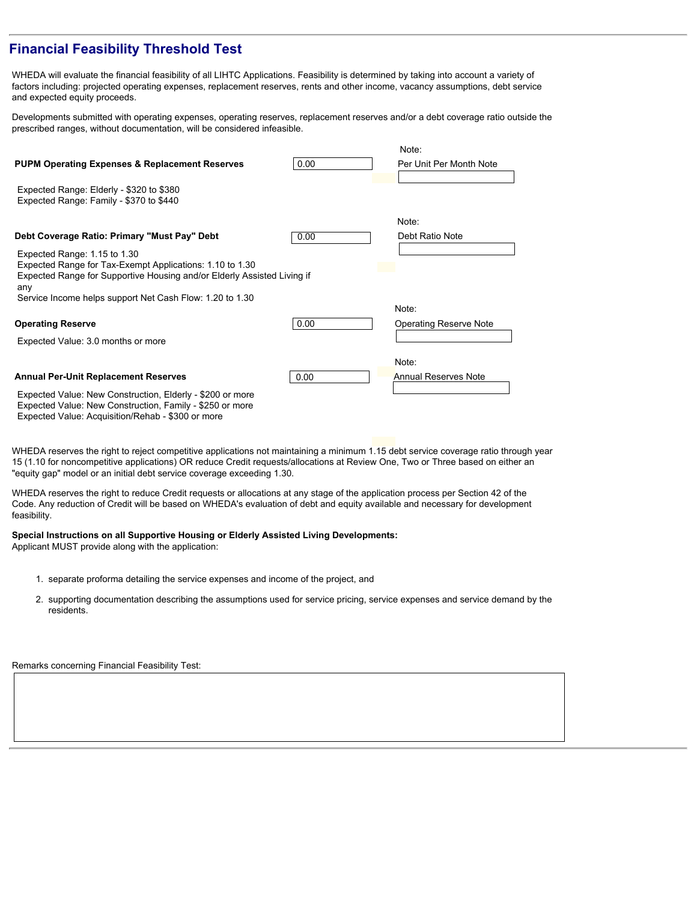### **Financial Feasibility Threshold Test**

WHEDA will evaluate the financial feasibility of all LIHTC Applications. Feasibility is determined by taking into account a variety of factors including: projected operating expenses, replacement reserves, rents and other income, vacancy assumptions, debt service and expected equity proceeds.

Developments submitted with operating expenses, operating reserves, replacement reserves and/or a debt coverage ratio outside the prescribed ranges, without documentation, will be considered infeasible.

|                                                                                                                                                                                                                                        |      | Note:                         |
|----------------------------------------------------------------------------------------------------------------------------------------------------------------------------------------------------------------------------------------|------|-------------------------------|
| <b>PUPM Operating Expenses &amp; Replacement Reserves</b>                                                                                                                                                                              | 0.00 | Per Unit Per Month Note       |
| Expected Range: Elderly - \$320 to \$380<br>Expected Range: Family - \$370 to \$440                                                                                                                                                    |      |                               |
|                                                                                                                                                                                                                                        |      | Note:                         |
| Debt Coverage Ratio: Primary "Must Pay" Debt                                                                                                                                                                                           | 0.00 | Debt Ratio Note               |
| Expected Range: 1.15 to 1.30<br>Expected Range for Tax-Exempt Applications: 1.10 to 1.30<br>Expected Range for Supportive Housing and/or Elderly Assisted Living if<br>any<br>Service Income helps support Net Cash Flow: 1.20 to 1.30 |      |                               |
|                                                                                                                                                                                                                                        |      | Note:                         |
| <b>Operating Reserve</b>                                                                                                                                                                                                               | 0.00 | <b>Operating Reserve Note</b> |
| Expected Value: 3.0 months or more                                                                                                                                                                                                     |      |                               |
|                                                                                                                                                                                                                                        |      | Note:                         |
| <b>Annual Per-Unit Replacement Reserves</b>                                                                                                                                                                                            | 0.00 | <b>Annual Reserves Note</b>   |
| Expected Value: New Construction, Elderly - \$200 or more<br>Expected Value: New Construction, Family - \$250 or more                                                                                                                  |      |                               |

Expected Value: Acquisition/Rehab - \$300 or more

WHEDA reserves the right to reject competitive applications not maintaining a minimum 1.15 debt service coverage ratio through year 15 (1.10 for noncompetitive applications) OR reduce Credit requests/allocations at Review One, Two or Three based on either an "equity gap" model or an initial debt service coverage exceeding 1.30.

WHEDA reserves the right to reduce Credit requests or allocations at any stage of the application process per Section 42 of the Code. Any reduction of Credit will be based on WHEDA's evaluation of debt and equity available and necessary for development feasibility.

#### **Special Instructions on all Supportive Housing or Elderly Assisted Living Developments:**

Applicant MUST provide along with the application:

- 1. separate proforma detailing the service expenses and income of the project, and
- 2. supporting documentation describing the assumptions used for service pricing, service expenses and service demand by the residents.

Remarks concerning Financial Feasibility Test: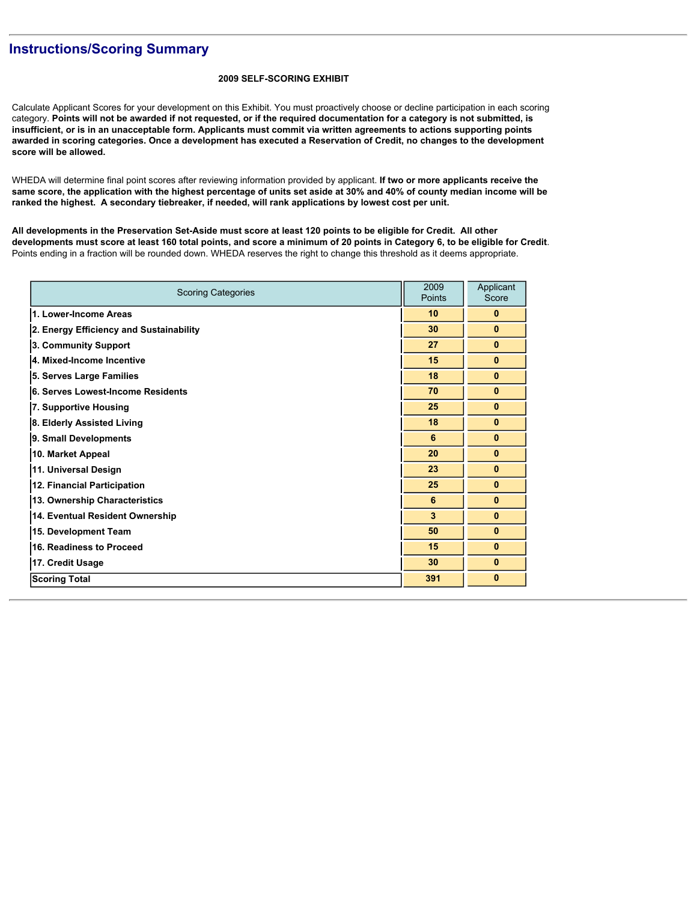#### **Instructions/Scoring Summary**

#### **2009 SELF-SCORING EXHIBIT**

Calculate Applicant Scores for your development on this Exhibit. You must proactively choose or decline participation in each scoring category. **Points will not be awarded if not requested, or if the required documentation for a category is not submitted, is insufficient, or is in an unacceptable form. Applicants must commit via written agreements to actions supporting points awarded in scoring categories. Once a development has executed a Reservation of Credit, no changes to the development score will be allowed.**

WHEDA will determine final point scores after reviewing information provided by applicant. **If two or more applicants receive the same score, the application with the highest percentage of units set aside at 30% and 40% of county median income will be ranked the highest. A secondary tiebreaker, if needed, will rank applications by lowest cost per unit.**

**All developments in the Preservation Set-Aside must score at least 120 points to be eligible for Credit. All other developments must score at least 160 total points, and score a minimum of 20 points in Category 6, to be eligible for Credit**. Points ending in a fraction will be rounded down. WHEDA reserves the right to change this threshold as it deems appropriate.

| <b>Scoring Categories</b>               |                         | Applicant<br>Score |
|-----------------------------------------|-------------------------|--------------------|
| 1. Lower-Income Areas                   | 10                      | $\mathbf{0}$       |
| 2. Energy Efficiency and Sustainability | 30                      | $\mathbf{0}$       |
| 3. Community Support                    | 27                      | $\mathbf{0}$       |
| 4. Mixed-Income Incentive               | 15                      | $\mathbf{0}$       |
| 5. Serves Large Families                | 18                      | $\mathbf{0}$       |
| 6. Serves Lowest-Income Residents       | 70                      | $\mathbf{0}$       |
| 7. Supportive Housing                   | 25                      | $\mathbf{0}$       |
| 8. Elderly Assisted Living              | 18                      | $\mathbf{0}$       |
| 9. Small Developments                   | 6                       | $\mathbf{0}$       |
| 10. Market Appeal                       | 20                      | $\mathbf{0}$       |
| 11. Universal Design                    | 23                      | $\mathbf{0}$       |
| 12. Financial Participation             | 25                      | $\mathbf{0}$       |
| 13. Ownership Characteristics           | 6                       | $\mathbf{0}$       |
| 14. Eventual Resident Ownership         | $\overline{\mathbf{3}}$ | $\mathbf{0}$       |
| 15. Development Team                    | 50                      | $\mathbf{0}$       |
| 16. Readiness to Proceed                | 15                      | $\mathbf{0}$       |
| 17. Credit Usage                        | 30                      | $\mathbf{0}$       |
| <b>Scoring Total</b>                    | 391                     | $\mathbf{0}$       |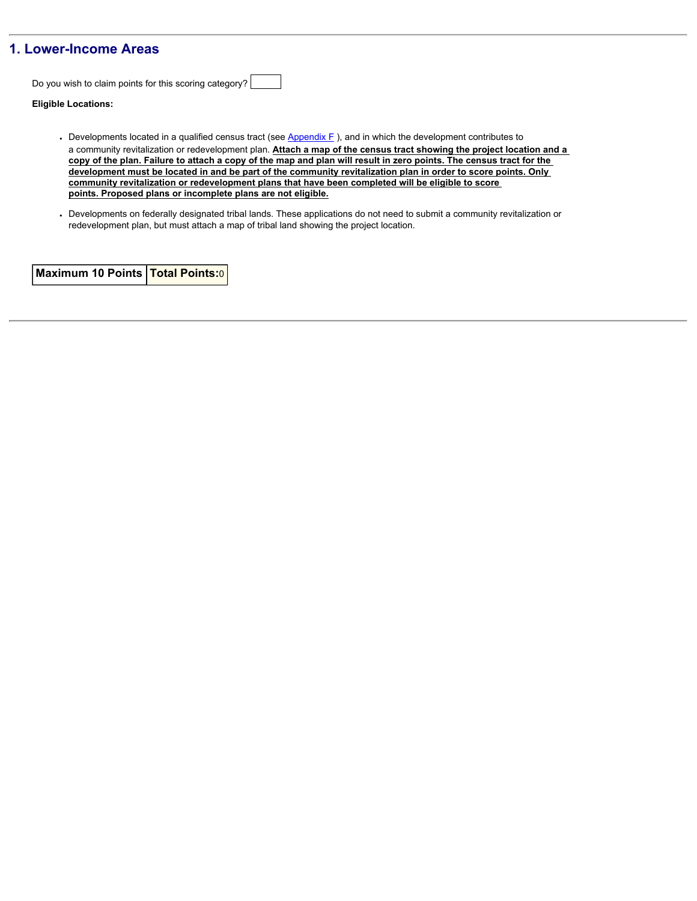#### **1. Lower-Income Areas**

|  |  |  | Do you wish to claim points for this scoring category? |  |
|--|--|--|--------------------------------------------------------|--|
|  |  |  |                                                        |  |

**Eligible Locations:**

- Developments located in a qualified census tract (see  $\Delta p$  endix  $F$  ), and in which the development contributes to a community revitalization or redevelopment plan. **Attach a map of the census tract showing the project location and a copy of the plan. Failure to attach a copy of the map and plan will result in zero points. The census tract for the development must be located in and be part of the community revitalization plan in order to score points. Only community revitalization or redevelopment plans that have been completed will be eligible to score points. Proposed plans or incomplete plans are not eligible.**
- Developments on federally designated tribal lands. These applications do not need to submit a community revitalization or redevelopment plan, but must attach a map of tribal land showing the project location.

**Maximum 10 Points Total Points:**0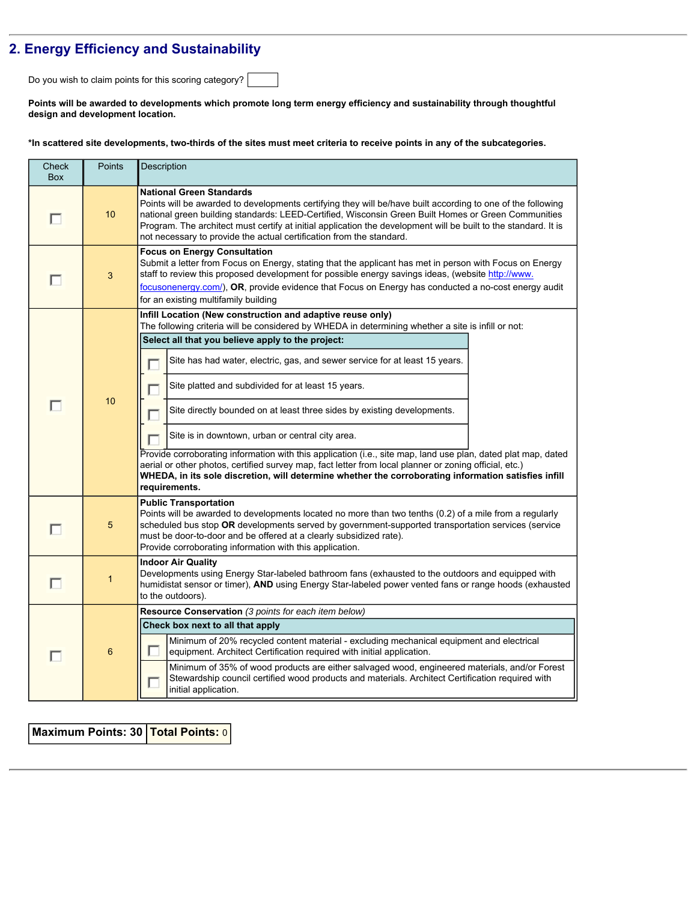### **2. Energy Efficiency and Sustainability**

Do you wish to claim points for this scoring category?

**Points will be awarded to developments which promote long term energy efficiency and sustainability through thoughtful design and development location.**

**\*In scattered site developments, two-thirds of the sites must meet criteria to receive points in any of the subcategories.**

| Check<br><b>Box</b> | Points       | Description                                                                                                                                                                                                                                                                                                                                                                                                                                      |  |  |  |
|---------------------|--------------|--------------------------------------------------------------------------------------------------------------------------------------------------------------------------------------------------------------------------------------------------------------------------------------------------------------------------------------------------------------------------------------------------------------------------------------------------|--|--|--|
|                     | 10           | <b>National Green Standards</b><br>Points will be awarded to developments certifying they will be/have built according to one of the following<br>national green building standards: LEED-Certified, Wisconsin Green Built Homes or Green Communities<br>Program. The architect must certify at initial application the development will be built to the standard. It is<br>not necessary to provide the actual certification from the standard. |  |  |  |
|                     | 3            | <b>Focus on Energy Consultation</b><br>Submit a letter from Focus on Energy, stating that the applicant has met in person with Focus on Energy<br>staff to review this proposed development for possible energy savings ideas, (website http://www.<br>focusonenergy.com/), OR, provide evidence that Focus on Energy has conducted a no-cost energy audit<br>for an existing multifamily building                                               |  |  |  |
|                     |              | Infill Location (New construction and adaptive reuse only)<br>The following criteria will be considered by WHEDA in determining whether a site is infill or not:                                                                                                                                                                                                                                                                                 |  |  |  |
|                     |              | Select all that you believe apply to the project:                                                                                                                                                                                                                                                                                                                                                                                                |  |  |  |
|                     |              | Site has had water, electric, gas, and sewer service for at least 15 years.                                                                                                                                                                                                                                                                                                                                                                      |  |  |  |
|                     | 10           | Site platted and subdivided for at least 15 years.                                                                                                                                                                                                                                                                                                                                                                                               |  |  |  |
|                     |              | Site directly bounded on at least three sides by existing developments.                                                                                                                                                                                                                                                                                                                                                                          |  |  |  |
|                     |              | Site is in downtown, urban or central city area.                                                                                                                                                                                                                                                                                                                                                                                                 |  |  |  |
|                     |              | Provide corroborating information with this application (i.e., site map, land use plan, dated plat map, dated<br>aerial or other photos, certified survey map, fact letter from local planner or zoning official, etc.)                                                                                                                                                                                                                          |  |  |  |
|                     |              | WHEDA, in its sole discretion, will determine whether the corroborating information satisfies infill<br>requirements.                                                                                                                                                                                                                                                                                                                            |  |  |  |
|                     |              | <b>Public Transportation</b><br>Points will be awarded to developments located no more than two tenths (0.2) of a mile from a regularly                                                                                                                                                                                                                                                                                                          |  |  |  |
|                     | 5            | scheduled bus stop OR developments served by government-supported transportation services (service<br>must be door-to-door and be offered at a clearly subsidized rate).                                                                                                                                                                                                                                                                         |  |  |  |
|                     |              | Provide corroborating information with this application.                                                                                                                                                                                                                                                                                                                                                                                         |  |  |  |
|                     |              | <b>Indoor Air Quality</b><br>Developments using Energy Star-labeled bathroom fans (exhausted to the outdoors and equipped with                                                                                                                                                                                                                                                                                                                   |  |  |  |
| ш                   | $\mathbf{1}$ | humidistat sensor or timer), AND using Energy Star-labeled power vented fans or range hoods (exhausted<br>to the outdoors).                                                                                                                                                                                                                                                                                                                      |  |  |  |
|                     | 6            | Resource Conservation (3 points for each item below)                                                                                                                                                                                                                                                                                                                                                                                             |  |  |  |
|                     |              | Check box next to all that apply                                                                                                                                                                                                                                                                                                                                                                                                                 |  |  |  |
|                     |              | Minimum of 20% recycled content material - excluding mechanical equipment and electrical<br>equipment. Architect Certification required with initial application.                                                                                                                                                                                                                                                                                |  |  |  |
|                     |              | Minimum of 35% of wood products are either salvaged wood, engineered materials, and/or Forest<br>Stewardship council certified wood products and materials. Architect Certification required with<br>initial application.                                                                                                                                                                                                                        |  |  |  |

**Maximum Points: 30 Total Points: 0**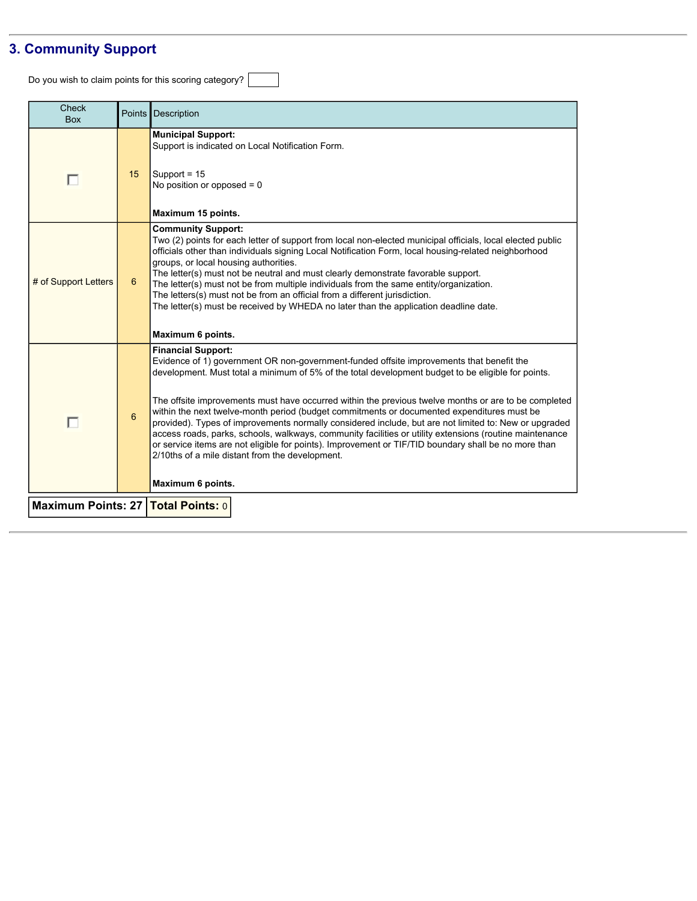# **3. Community Support**

Do you wish to claim points for this scoring category?  $[$ 

| <b>Check</b><br><b>Box</b> |    | Points Description                                                                                                                                                                                                                                                                                                                                                                                                                                                                                                                                                                                                                                                                                                                                                                                                                    |  |
|----------------------------|----|---------------------------------------------------------------------------------------------------------------------------------------------------------------------------------------------------------------------------------------------------------------------------------------------------------------------------------------------------------------------------------------------------------------------------------------------------------------------------------------------------------------------------------------------------------------------------------------------------------------------------------------------------------------------------------------------------------------------------------------------------------------------------------------------------------------------------------------|--|
|                            | 15 | <b>Municipal Support:</b><br>Support is indicated on Local Notification Form.<br>Support = 15<br>No position or opposed $= 0$<br>Maximum 15 points.                                                                                                                                                                                                                                                                                                                                                                                                                                                                                                                                                                                                                                                                                   |  |
| # of Support Letters       | 6  | <b>Community Support:</b><br>Two (2) points for each letter of support from local non-elected municipal officials, local elected public<br>officials other than individuals signing Local Notification Form, local housing-related neighborhood<br>groups, or local housing authorities.<br>The letter(s) must not be neutral and must clearly demonstrate favorable support.<br>The letter(s) must not be from multiple individuals from the same entity/organization.<br>The letters(s) must not be from an official from a different jurisdiction.<br>The letter(s) must be received by WHEDA no later than the application deadline date.<br>Maximum 6 points.                                                                                                                                                                    |  |
| 6                          |    | <b>Financial Support:</b><br>Evidence of 1) government OR non-government-funded offsite improvements that benefit the<br>development. Must total a minimum of 5% of the total development budget to be eligible for points.<br>The offsite improvements must have occurred within the previous twelve months or are to be completed<br>within the next twelve-month period (budget commitments or documented expenditures must be<br>provided). Types of improvements normally considered include, but are not limited to: New or upgraded<br>access roads, parks, schools, walkways, community facilities or utility extensions (routine maintenance<br>or service items are not eligible for points). Improvement or TIF/TID boundary shall be no more than<br>2/10ths of a mile distant from the development.<br>Maximum 6 points. |  |
| Maximum Points: 27         |    | <b>Total Points: 0</b>                                                                                                                                                                                                                                                                                                                                                                                                                                                                                                                                                                                                                                                                                                                                                                                                                |  |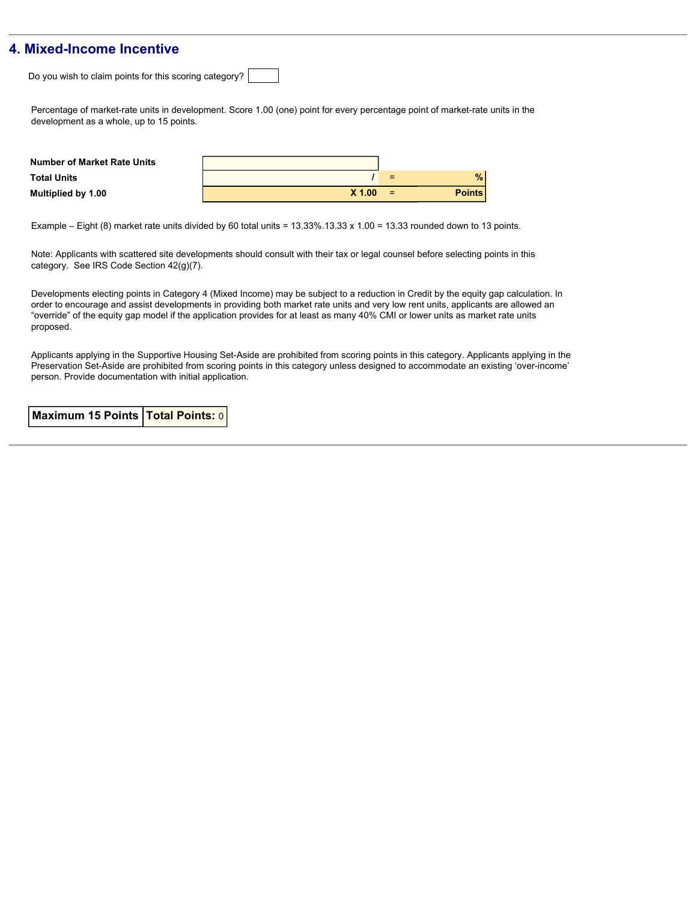#### **4. Mixed-Income Incentive**

Percentage of market-rate units in development. Score 1.00 (one) point for every percentage point of market-rate units in the development as a whole, up to 15 points.

| <b>Number of Market Rate Units</b> |          |          |               |
|------------------------------------|----------|----------|---------------|
| <b>Total Units</b>                 |          | $\equiv$ | %             |
| Multiplied by 1.00                 | $X$ 1.00 | $\equiv$ | <b>Points</b> |

Example – Eight (8) market rate units divided by 60 total units = 13.33%.13.33 x 1.00 = 13.33 rounded down to 13 points.

Note: Applicants with scattered site developments should consult with their tax or legal counsel before selecting points in this category. See IRS Code Section 42(g)(7).

Developments electing points in Category 4 (Mixed Income) may be subject to a reduction in Credit by the equity gap calculation. In order to encourage and assist developments in providing both market rate units and very low rent units, applicants are allowed an "override" of the equity gap model if the application provides for at least as many 40% CMI or lower units as market rate units proposed.

Applicants applying in the Supportive Housing Set-Aside are prohibited from scoring points in this category. Applicants applying in the Preservation Set-Aside are prohibited from scoring points in this category unless designed to accommodate an existing 'over-income' person. Provide documentation with initial application.

**Maximum 15 Points Total Points: 0**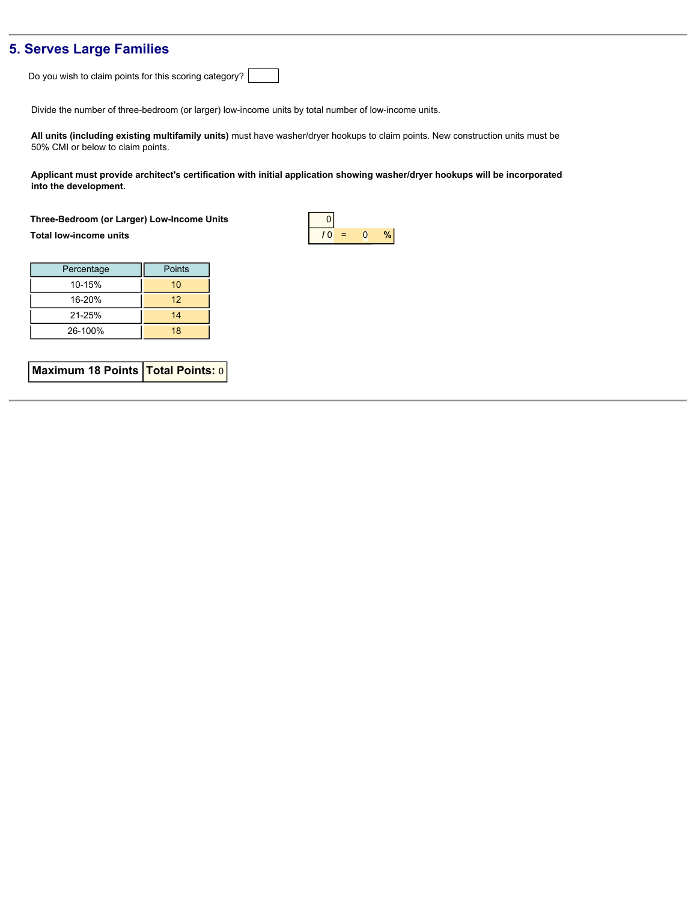### **5. Serves Large Families**

Do you wish to claim points for this scoring category?

Divide the number of three-bedroom (or larger) low-income units by total number of low-income units.

**All units (including existing multifamily units)** must have washer/dryer hookups to claim points. New construction units must be 50% CMI or below to claim points.

**Applicant must provide architect's certification with initial application showing washer/dryer hookups will be incorporated into the development.**

**Three-Bedroom (or Larger) Low-Income Units** 0



| Percentage | Points          |
|------------|-----------------|
| 10-15%     | 10              |
| 16-20%     | 12 <sup>2</sup> |
| 21-25%     | 14              |
| 26-100%    | 18              |

**Maximum 18 Points Total Points: 0**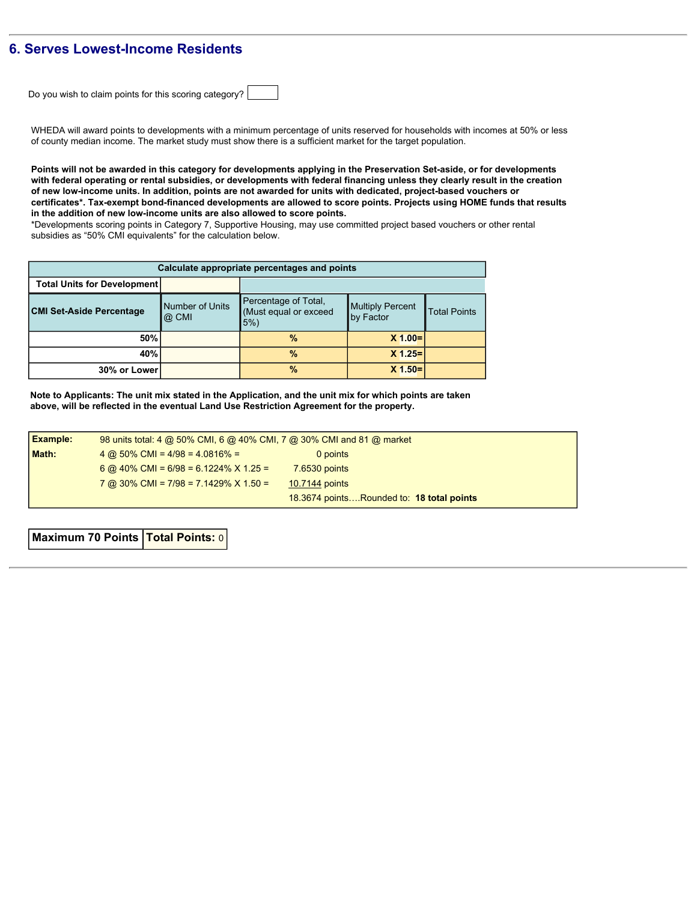#### **6. Serves Lowest-Income Residents**

Do you wish to claim points for this scoring category?

WHEDA will award points to developments with a minimum percentage of units reserved for households with incomes at 50% or less of county median income. The market study must show there is a sufficient market for the target population.

**Points will not be awarded in this category for developments applying in the Preservation Set-aside, or for developments with federal operating or rental subsidies, or developments with federal financing unless they clearly result in the creation of new low-income units. In addition, points are not awarded for units with dedicated, project-based vouchers or certificates\*. Tax-exempt bond-financed developments are allowed to score points. Projects using HOME funds that results in the addition of new low-income units are also allowed to score points.**

\*Developments scoring points in Category 7, Supportive Housing, may use committed project based vouchers or other rental subsidies as "50% CMI equivalents" for the calculation below.

| Calculate appropriate percentages and points |                            |                                                         |                               |                     |  |
|----------------------------------------------|----------------------------|---------------------------------------------------------|-------------------------------|---------------------|--|
| <b>Total Units for Development</b>           |                            |                                                         |                               |                     |  |
| <b>CMI Set-Aside Percentage</b>              | Number of Units<br>$@$ CMI | Percentage of Total,<br>(Must equal or exceed<br>$5%$ ) | Multiply Percent<br>by Factor | <b>Total Points</b> |  |
| 50%                                          |                            | $\%$                                                    | $X$ 1.00 =                    |                     |  |
| 40%                                          |                            | $\frac{0}{2}$                                           | $X$ 1.25 =                    |                     |  |
| 30% or Lower                                 |                            | $\frac{0}{2}$                                           | $X$ 1.50 =                    |                     |  |

**Note to Applicants: The unit mix stated in the Application, and the unit mix for which points are taken above, will be reflected in the eventual Land Use Restriction Agreement for the property.**

| <b>Example:</b> | 98 units total: 4 @ 50% CMI, 6 @ 40% CMI, 7 @ 30% CMI and 81 @ market |                                           |
|-----------------|-----------------------------------------------------------------------|-------------------------------------------|
| Math:           | $4$ @ 50% CMI = 4/98 = 4.0816% =                                      | 0 points                                  |
|                 | $6$ @ 40% CMI = 6/98 = 6.1224% X 1.25 =                               | 7.6530 points                             |
|                 | $7$ @ 30% CMI = 7/98 = 7.1429% X 1.50 =                               | 10.7144 points                            |
|                 |                                                                       | 18.3674 pointsRounded to: 18 total points |

**Maximum 70 Points Total Points: 0**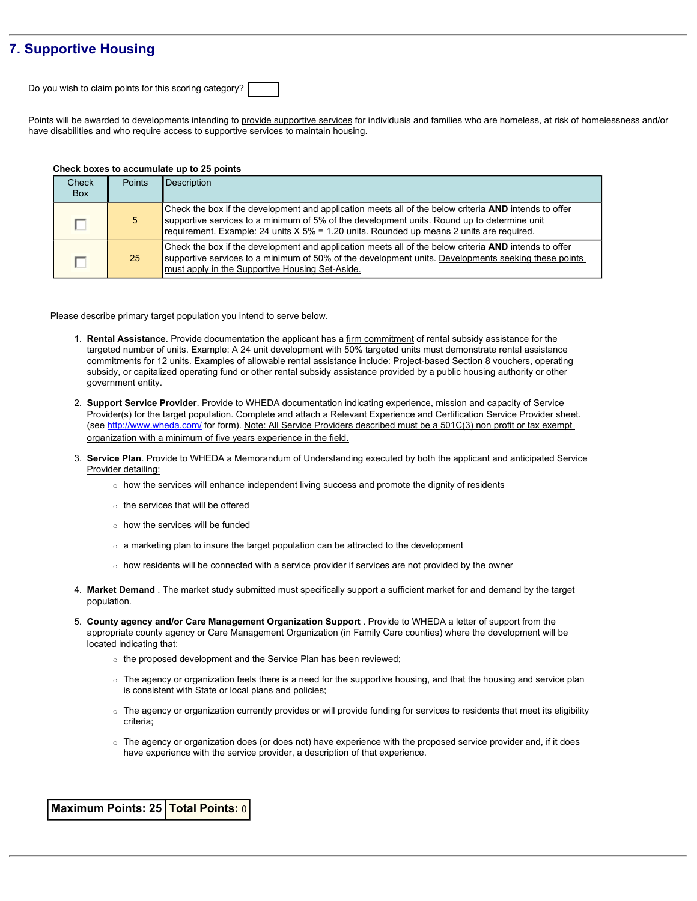### **7. Supportive Housing**

Do you wish to claim points for this scoring category?

Points will be awarded to developments intending to provide supportive services for individuals and families who are homeless, at risk of homelessness and/or have disabilities and who require access to supportive services to maintain housing.

| Check<br><b>Box</b> | <b>Points</b> | Description                                                                                                                                                                                                                                                                                      |
|---------------------|---------------|--------------------------------------------------------------------------------------------------------------------------------------------------------------------------------------------------------------------------------------------------------------------------------------------------|
|                     | 5             | Check the box if the development and application meets all of the below criteria AND intends to offer<br>supportive services to a minimum of 5% of the development units. Round up to determine unit<br>requirement. Example: 24 units X 5% = 1.20 units. Rounded up means 2 units are required. |
|                     | 25            | Check the box if the development and application meets all of the below criteria AND intends to offer<br>supportive services to a minimum of 50% of the development units. Developments seeking these points<br>must apply in the Supportive Housing Set-Aside.                                  |

#### **Check boxes to accumulate up to 25 points**

Please describe primary target population you intend to serve below.

- 1. **Rental Assistance**. Provide documentation the applicant has a firm commitment of rental subsidy assistance for the targeted number of units. Example: A 24 unit development with 50% targeted units must demonstrate rental assistance commitments for 12 units. Examples of allowable rental assistance include: Project-based Section 8 vouchers, operating subsidy, or capitalized operating fund or other rental subsidy assistance provided by a public housing authority or other government entity.
- 2. **Support Service Provider**. Provide to WHEDA documentation indicating experience, mission and capacity of Service Provider(s) for the target population. Complete and attach a Relevant Experience and Certification Service Provider sheet. (see<http://www.wheda.com/> for form). Note: All Service Providers described must be a 501C(3) non profit or tax exempt organization with a minimum of five years experience in the field.
- 3. **Service Plan**. Provide to WHEDA a Memorandum of Understanding executed by both the applicant and anticipated Service Provider detailing:
	- ❍ how the services will enhance independent living success and promote the dignity of residents
	- $\circ$  the services that will be offered
	- o how the services will be funded
	- ❍ a marketing plan to insure the target population can be attracted to the development
	- $\circ$  how residents will be connected with a service provider if services are not provided by the owner
- 4. **Market Demand** . The market study submitted must specifically support a sufficient market for and demand by the target population.
- 5. **County agency and/or Care Management Organization Support** . Provide to WHEDA a letter of support from the appropriate county agency or Care Management Organization (in Family Care counties) where the development will be located indicating that:
	- ❍ the proposed development and the Service Plan has been reviewed;
	- ❍ The agency or organization feels there is a need for the supportive housing, and that the housing and service plan is consistent with State or local plans and policies;
	- ❍ The agency or organization currently provides or will provide funding for services to residents that meet its eligibility criteria;
	- ❍ The agency or organization does (or does not) have experience with the proposed service provider and, if it does have experience with the service provider, a description of that experience.

**Maximum Points: 25 Total Points: 0**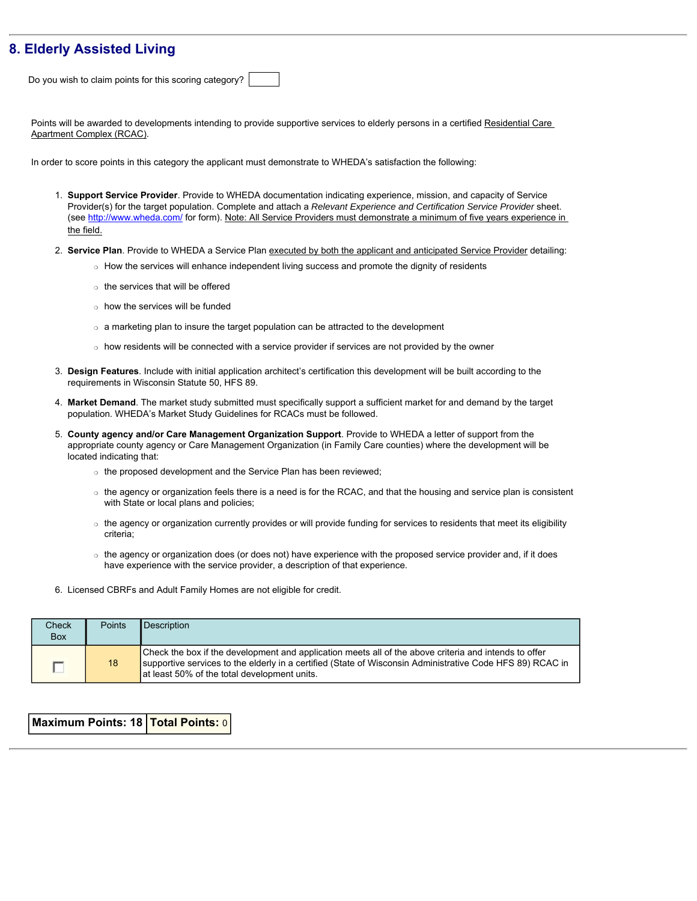### **8. Elderly Assisted Living**

Points will be awarded to developments intending to provide supportive services to elderly persons in a certified Residential Care Apartment Complex (RCAC).

In order to score points in this category the applicant must demonstrate to WHEDA's satisfaction the following:

- 1. **Support Service Provider**. Provide to WHEDA documentation indicating experience, mission, and capacity of Service Provider(s) for the target population. Complete and attach a *Relevant Experience and Certification Service Provider* sheet. (see<http://www.wheda.com/>for form). Note: All Service Providers must demonstrate a minimum of five years experience in the field.
- 2. **Service Plan**. Provide to WHEDA a Service Plan executed by both the applicant and anticipated Service Provider detailing:
	- $\circ$  How the services will enhance independent living success and promote the dignity of residents
	- $\circ$  the services that will be offered
	- $\circ$  how the services will be funded
	- $\circ$  a marketing plan to insure the target population can be attracted to the development
	- ❍ how residents will be connected with a service provider if services are not provided by the owner
- 3. **Design Features**. Include with initial application architect's certification this development will be built according to the requirements in Wisconsin Statute 50, HFS 89.
- 4. **Market Demand**. The market study submitted must specifically support a sufficient market for and demand by the target population. WHEDA's Market Study Guidelines for RCACs must be followed.
- 5. **County agency and/or Care Management Organization Support**. Provide to WHEDA a letter of support from the appropriate county agency or Care Management Organization (in Family Care counties) where the development will be located indicating that:
	- o the proposed development and the Service Plan has been reviewed;
	- ❍ the agency or organization feels there is a need is for the RCAC, and that the housing and service plan is consistent with State or local plans and policies;
	- ❍ the agency or organization currently provides or will provide funding for services to residents that meet its eligibility criteria;
	- ❍ the agency or organization does (or does not) have experience with the proposed service provider and, if it does have experience with the service provider, a description of that experience.
- 6. Licensed CBRFs and Adult Family Homes are not eligible for credit.

| Check<br><b>Box</b> | <b>Points</b> | <b>Description</b>                                                                                                                                                                                                                                                        |
|---------------------|---------------|---------------------------------------------------------------------------------------------------------------------------------------------------------------------------------------------------------------------------------------------------------------------------|
|                     | 18            | <b>Check the box if the development and application meets all of the above criteria and intends to offer</b><br>supportive services to the elderly in a certified (State of Wisconsin Administrative Code HFS 89) RCAC in<br>at least 50% of the total development units. |

**Maximum Points: 18 Total Points: 0**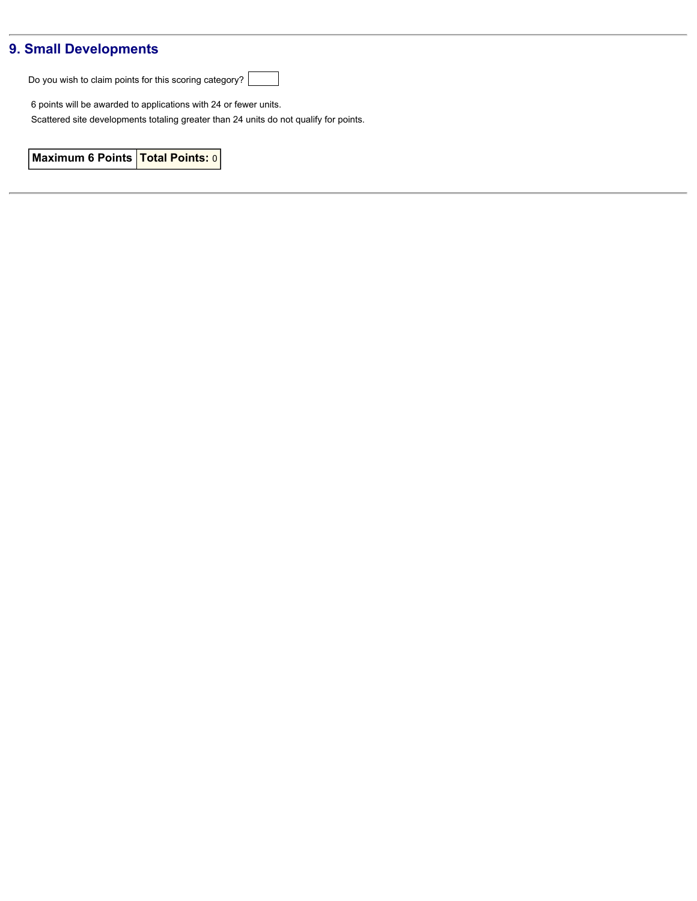### **9. Small Developments**

Do you wish to claim points for this scoring category? [

6 points will be awarded to applications with 24 or fewer units.

Scattered site developments totaling greater than 24 units do not qualify for points.

**Maximum 6 Points Total Points:** 0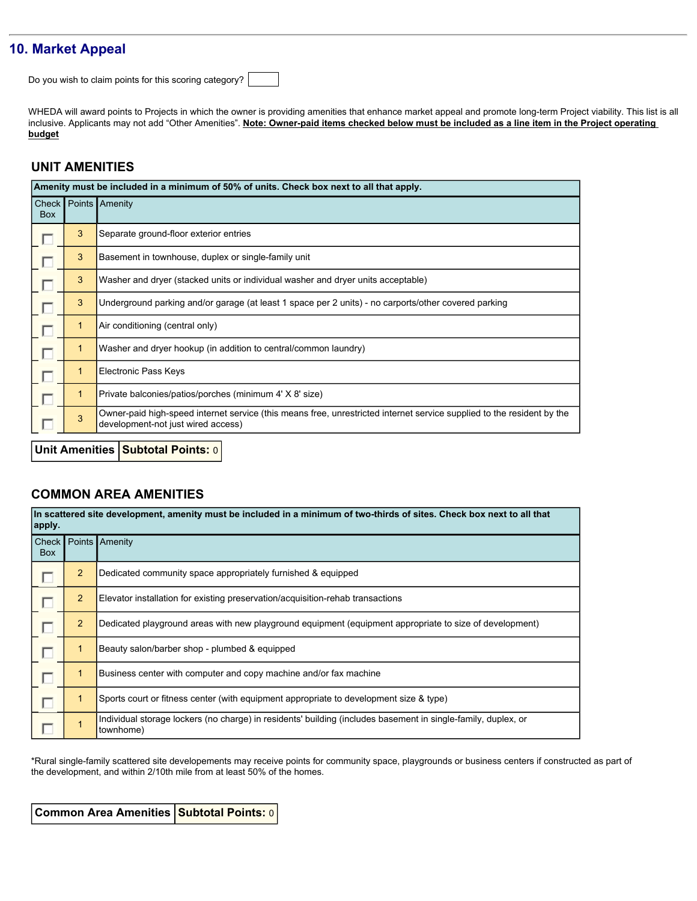### **10. Market Appeal**

Do you wish to claim points for this scoring category?

WHEDA will award points to Projects in which the owner is providing amenities that enhance market appeal and promote long-term Project viability. This list is all inclusive. Applicants may not add "Other Amenities". **Note: Owner-paid items checked below must be included as a line item in the Project operating budget**

#### **UNIT AMENITIES**

| Amenity must be included in a minimum of 50% of units. Check box next to all that apply. |   |                                                                                                                                                              |  |
|------------------------------------------------------------------------------------------|---|--------------------------------------------------------------------------------------------------------------------------------------------------------------|--|
| Check                                                                                    |   | Points Amenity                                                                                                                                               |  |
| <b>Box</b>                                                                               |   |                                                                                                                                                              |  |
|                                                                                          | 3 | Separate ground-floor exterior entries                                                                                                                       |  |
|                                                                                          | 3 | Basement in townhouse, duplex or single-family unit                                                                                                          |  |
|                                                                                          | 3 | Washer and dryer (stacked units or individual washer and dryer units acceptable)                                                                             |  |
|                                                                                          | 3 | Underground parking and/or garage (at least 1 space per 2 units) - no carports/other covered parking                                                         |  |
|                                                                                          | 1 | Air conditioning (central only)                                                                                                                              |  |
|                                                                                          | 1 | Washer and dryer hookup (in addition to central/common laundry)                                                                                              |  |
|                                                                                          | 1 | <b>Electronic Pass Keys</b>                                                                                                                                  |  |
|                                                                                          | 1 | Private balconies/patios/porches (minimum 4' X 8' size)                                                                                                      |  |
|                                                                                          | 3 | Owner-paid high-speed internet service (this means free, unrestricted internet service supplied to the resident by the<br>development-not just wired access) |  |

**Unit Amenities Subtotal Points: 0** 

#### **COMMON AREA AMENITIES**

| In scattered site development, amenity must be included in a minimum of two-thirds of sites. Check box next to all that<br>apply. |                      |                                                                                                                            |  |  |
|-----------------------------------------------------------------------------------------------------------------------------------|----------------------|----------------------------------------------------------------------------------------------------------------------------|--|--|
| <b>Check</b><br><b>Box</b>                                                                                                        |                      | Points Amenity                                                                                                             |  |  |
|                                                                                                                                   | $\overline{2}$       | Dedicated community space appropriately furnished & equipped                                                               |  |  |
|                                                                                                                                   | $\overline{2}$       | Elevator installation for existing preservation/acquisition-rehab transactions                                             |  |  |
|                                                                                                                                   | $\overline{2}$       | Dedicated playground areas with new playground equipment (equipment appropriate to size of development)                    |  |  |
|                                                                                                                                   | $\blacktriangleleft$ | Beauty salon/barber shop - plumbed & equipped                                                                              |  |  |
|                                                                                                                                   |                      | Business center with computer and copy machine and/or fax machine                                                          |  |  |
|                                                                                                                                   |                      | Sports court or fitness center (with equipment appropriate to development size & type)                                     |  |  |
|                                                                                                                                   | $\mathbf{1}$         | Individual storage lockers (no charge) in residents' building (includes basement in single-family, duplex, or<br>townhome) |  |  |

\*Rural single-family scattered site developements may receive points for community space, playgrounds or business centers if constructed as part of the development, and within 2/10th mile from at least 50% of the homes.

**Common Area Amenities Subtotal Points: 0**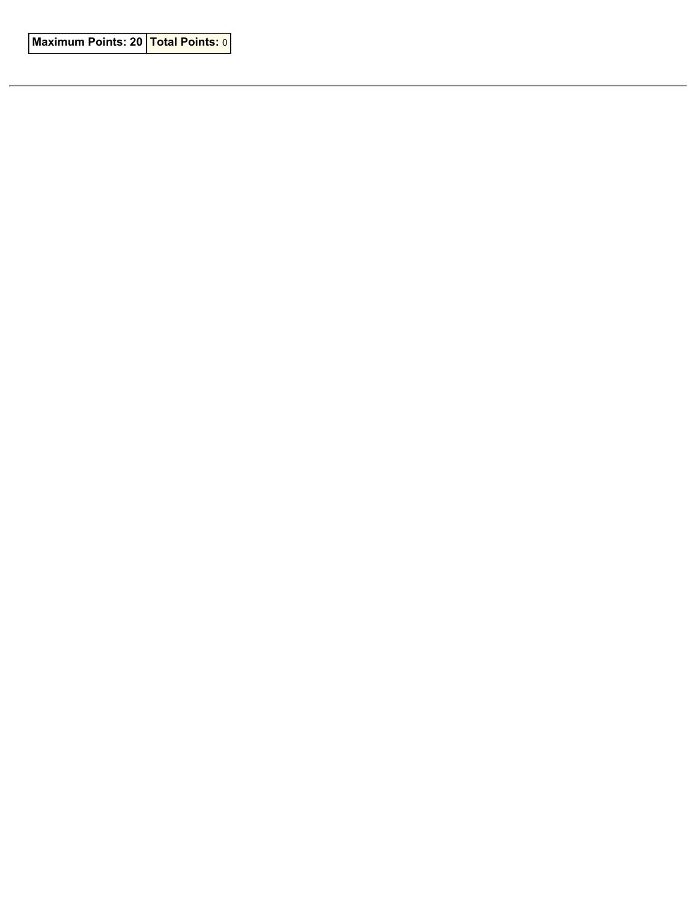| Maximum Points: 20 Total Points: 0 |  |
|------------------------------------|--|
|------------------------------------|--|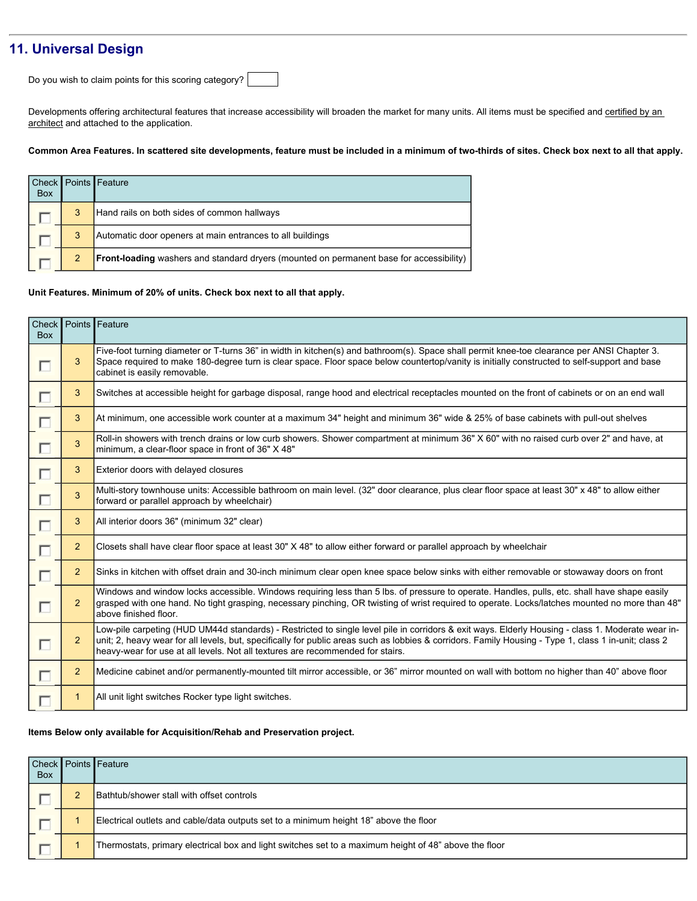### **11. Universal Design**

Do you wish to claim points for this scoring category?

Developments offering architectural features that increase accessibility will broaden the market for many units. All items must be specified and certified by an architect and attached to the application.

#### **Common Area Features. In scattered site developments, feature must be included in a minimum of two-thirds of sites. Check box next to all that apply.**

| <b>Box</b> |                | Check   Points   Feature                                                                       |
|------------|----------------|------------------------------------------------------------------------------------------------|
|            | 3              | Hand rails on both sides of common hallways                                                    |
|            | 3              | Automatic door openers at main entrances to all buildings                                      |
|            | $\overline{2}$ | <b>Front-loading</b> washers and standard dryers (mounted on permanent base for accessibility) |

#### **Unit Features. Minimum of 20% of units. Check box next to all that apply.**

| <b>Box</b> |                | Check   Points   Feature                                                                                                                                                                                                                                                                                                                                                                     |
|------------|----------------|----------------------------------------------------------------------------------------------------------------------------------------------------------------------------------------------------------------------------------------------------------------------------------------------------------------------------------------------------------------------------------------------|
|            | 3              | Five-foot turning diameter or T-turns 36" in width in kitchen(s) and bathroom(s). Space shall permit knee-toe clearance per ANSI Chapter 3.<br>Space required to make 180-degree turn is clear space. Floor space below countertop/vanity is initially constructed to self-support and base<br>cabinet is easily removable.                                                                  |
|            | 3              | Switches at accessible height for garbage disposal, range hood and electrical receptacles mounted on the front of cabinets or on an end wall                                                                                                                                                                                                                                                 |
|            | 3              | At minimum, one accessible work counter at a maximum 34" height and minimum 36" wide & 25% of base cabinets with pull-out shelves                                                                                                                                                                                                                                                            |
|            | 3              | Roll-in showers with trench drains or low curb showers. Shower compartment at minimum 36" X 60" with no raised curb over 2" and have, at<br>minimum, a clear-floor space in front of 36" X 48"                                                                                                                                                                                               |
|            | 3              | Exterior doors with delayed closures                                                                                                                                                                                                                                                                                                                                                         |
|            | 3              | Multi-story townhouse units: Accessible bathroom on main level. (32" door clearance, plus clear floor space at least 30" x 48" to allow either<br>forward or parallel approach by wheelchair)                                                                                                                                                                                                |
| п          | 3              | All interior doors 36" (minimum 32" clear)                                                                                                                                                                                                                                                                                                                                                   |
| г          | $\overline{2}$ | Closets shall have clear floor space at least 30" X 48" to allow either forward or parallel approach by wheelchair                                                                                                                                                                                                                                                                           |
|            | $\overline{2}$ | Sinks in kitchen with offset drain and 30-inch minimum clear open knee space below sinks with either removable or stowaway doors on front                                                                                                                                                                                                                                                    |
|            | $\overline{2}$ | Windows and window locks accessible. Windows requiring less than 5 lbs. of pressure to operate. Handles, pulls, etc. shall have shape easily<br>grasped with one hand. No tight grasping, necessary pinching, OR twisting of wrist required to operate. Locks/latches mounted no more than 48"<br>above finished floor.                                                                      |
| Г          | $\overline{2}$ | Low-pile carpeting (HUD UM44d standards) - Restricted to single level pile in corridors & exit ways. Elderly Housing - class 1. Moderate wear in-<br>unit; 2, heavy wear for all levels, but, specifically for public areas such as lobbies & corridors. Family Housing - Type 1, class 1 in-unit; class 2<br>heavy-wear for use at all levels. Not all textures are recommended for stairs. |
|            | $\overline{2}$ | Medicine cabinet and/or permanently-mounted tilt mirror accessible, or 36" mirror mounted on wall with bottom no higher than 40" above floor                                                                                                                                                                                                                                                 |
|            | $\mathbf 1$    | All unit light switches Rocker type light switches.                                                                                                                                                                                                                                                                                                                                          |

#### **Items Below only available for Acquisition/Rehab and Preservation project.**

| <b>Box</b> | Check   Points   Feature                                                                              |
|------------|-------------------------------------------------------------------------------------------------------|
|            | <b>Bathtub/shower stall with offset controls</b>                                                      |
|            | Electrical outlets and cable/data outputs set to a minimum height 18" above the floor                 |
|            | Thermostats, primary electrical box and light switches set to a maximum height of 48" above the floor |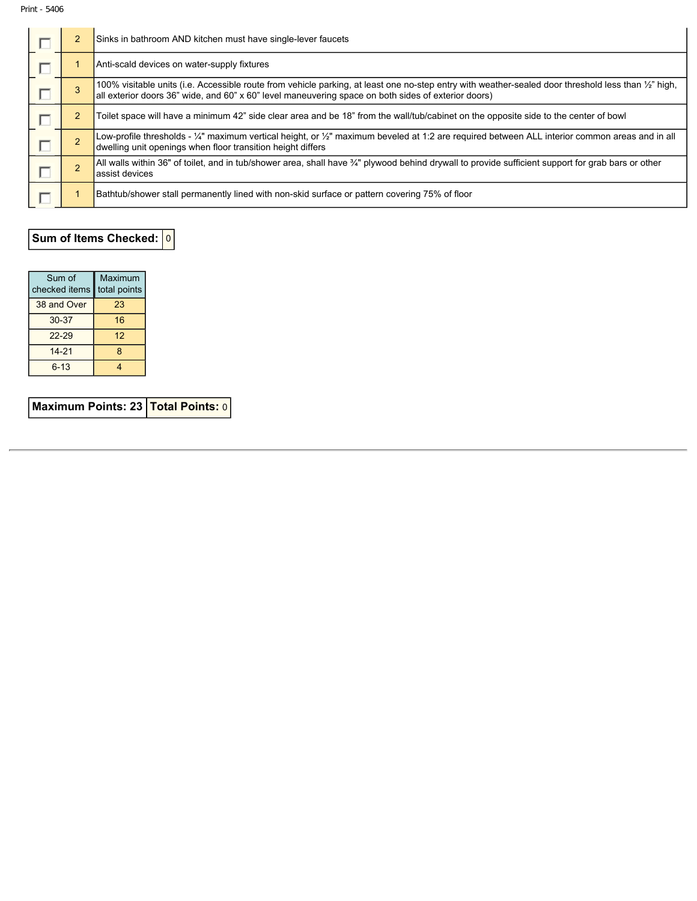|                | Sinks in bathroom AND kitchen must have single-lever faucets                                                                                                                                                                                                |
|----------------|-------------------------------------------------------------------------------------------------------------------------------------------------------------------------------------------------------------------------------------------------------------|
|                | Anti-scald devices on water-supply fixtures                                                                                                                                                                                                                 |
| 3              | 100% visitable units (i.e. Accessible route from vehicle parking, at least one no-step entry with weather-sealed door threshold less than 1/2" high,<br>all exterior doors 36" wide, and 60" x 60" level maneuvering space on both sides of exterior doors) |
| $\overline{2}$ | Toilet space will have a minimum 42" side clear area and be 18" from the wall/tub/cabinet on the opposite side to the center of bowl                                                                                                                        |
| $\overline{2}$ | Low-profile thresholds - 1/4" maximum vertical height, or 1/2" maximum beveled at 1:2 are required between ALL interior common areas and in all<br>dwelling unit openings when floor transition height differs                                              |
| $\overline{2}$ | All walls within 36" of toilet, and in tub/shower area, shall have 3/4" plywood behind drywall to provide sufficient support for grab bars or other<br>assist devices                                                                                       |
|                | Bathtub/shower stall permanently lined with non-skid surface or pattern covering 75% of floor                                                                                                                                                               |

 $\mathbf{r}$ 

# **Sum of Items Checked:** 0

| Sum of<br>checked items | Maximum<br>total points |
|-------------------------|-------------------------|
| 38 and Over             | 23                      |
| 30-37                   | 16                      |
| $22 - 29$               | 12                      |
| $14 - 21$               | 8                       |
| $6 - 13$                |                         |

**Maximum Points: 23 Total Points:** 0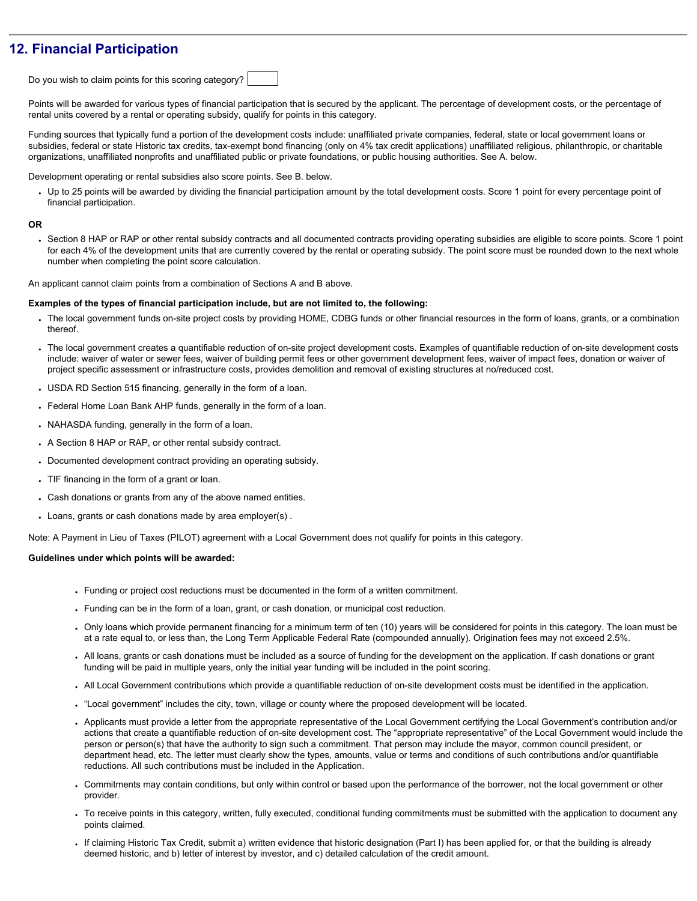### **12. Financial Participation**

Do you wish to claim points for this scoring category?

Points will be awarded for various types of financial participation that is secured by the applicant. The percentage of development costs, or the percentage of rental units covered by a rental or operating subsidy, qualify for points in this category.

Funding sources that typically fund a portion of the development costs include: unaffiliated private companies, federal, state or local government loans or subsidies, federal or state Historic tax credits, tax-exempt bond financing (only on 4% tax credit applications) unaffiliated religious, philanthropic, or charitable organizations, unaffiliated nonprofits and unaffiliated public or private foundations, or public housing authorities. See A. below.

Development operating or rental subsidies also score points. See B. below.

• Up to 25 points will be awarded by dividing the financial participation amount by the total development costs. Score 1 point for every percentage point of financial participation.

#### **OR**

Section 8 HAP or RAP or other rental subsidy contracts and all documented contracts providing operating subsidies are eligible to score points. Score 1 point for each 4% of the development units that are currently covered by the rental or operating subsidy. The point score must be rounded down to the next whole number when completing the point score calculation.

An applicant cannot claim points from a combination of Sections A and B above.

#### **Examples of the types of financial participation include, but are not limited to, the following:**

- . The local government funds on-site project costs by providing HOME, CDBG funds or other financial resources in the form of loans, grants, or a combination thereof.
- The local government creates a quantifiable reduction of on-site project development costs. Examples of quantifiable reduction of on-site development costs include: waiver of water or sewer fees, waiver of building permit fees or other government development fees, waiver of impact fees, donation or waiver of project specific assessment or infrastructure costs, provides demolition and removal of existing structures at no/reduced cost.
- USDA RD Section 515 financing, generally in the form of a loan.
- Federal Home Loan Bank AHP funds, generally in the form of a loan.
- NAHASDA funding, generally in the form of a loan.
- A Section 8 HAP or RAP, or other rental subsidy contract.
- Documented development contract providing an operating subsidy.
- TIF financing in the form of a grant or loan.
- Cash donations or grants from any of the above named entities.
- Loans, grants or cash donations made by area employer(s).

Note: A Payment in Lieu of Taxes (PILOT) agreement with a Local Government does not qualify for points in this category.

#### **Guidelines under which points will be awarded:**

- Funding or project cost reductions must be documented in the form of a written commitment.
- Funding can be in the form of a loan, grant, or cash donation, or municipal cost reduction.
- Only loans which provide permanent financing for a minimum term of ten (10) years will be considered for points in this category. The loan must be at a rate equal to, or less than, the Long Term Applicable Federal Rate (compounded annually). Origination fees may not exceed 2.5%.
- All loans, grants or cash donations must be included as a source of funding for the development on the application. If cash donations or grant funding will be paid in multiple years, only the initial year funding will be included in the point scoring.
- All Local Government contributions which provide a quantifiable reduction of on-site development costs must be identified in the application.
- "Local government" includes the city, town, village or county where the proposed development will be located.
- Applicants must provide a letter from the appropriate representative of the Local Government certifying the Local Government's contribution and/or actions that create a quantifiable reduction of on-site development cost. The "appropriate representative" of the Local Government would include the person or person(s) that have the authority to sign such a commitment. That person may include the mayor, common council president, or department head, etc. The letter must clearly show the types, amounts, value or terms and conditions of such contributions and/or quantifiable reductions. All such contributions must be included in the Application.
- Commitments may contain conditions, but only within control or based upon the performance of the borrower, not the local government or other provider.
- To receive points in this category, written, fully executed, conditional funding commitments must be submitted with the application to document any points claimed.
- If claiming Historic Tax Credit, submit a) written evidence that historic designation (Part I) has been applied for, or that the building is already deemed historic, and b) letter of interest by investor, and c) detailed calculation of the credit amount.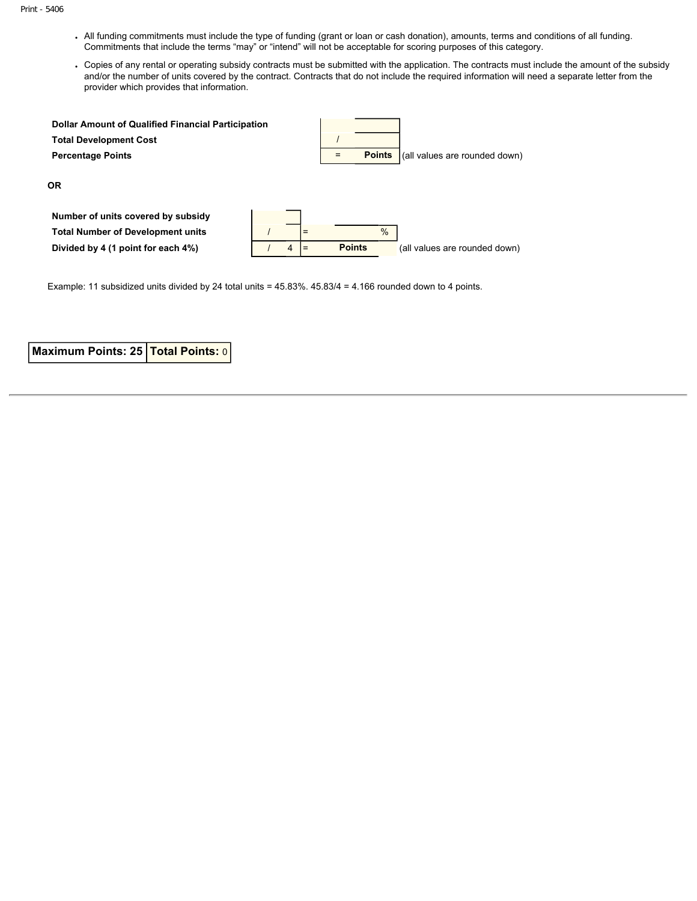- All funding commitments must include the type of funding (grant or loan or cash donation), amounts, terms and conditions of all funding. Commitments that include the terms "may" or "intend" will not be acceptable for scoring purposes of this category.
- Copies of any rental or operating subsidy contracts must be submitted with the application. The contracts must include the amount of the subsidy and/or the number of units covered by the contract. Contracts that do not include the required information will need a separate letter from the provider which provides that information.

| Dollar Amount of Qualified Financial Participation<br><b>Total Development Cost</b><br><b>Percentage Points</b>      | <b>Points</b><br>(all values are rounded down) |            |                                                                 |
|----------------------------------------------------------------------------------------------------------------------|------------------------------------------------|------------|-----------------------------------------------------------------|
| <b>OR</b>                                                                                                            |                                                |            |                                                                 |
| Number of units covered by subsidy<br><b>Total Number of Development units</b><br>Divided by 4 (1 point for each 4%) | $\overline{4}$                                 | $=$<br>$=$ | $\frac{0}{0}$<br><b>Points</b><br>(all values are rounded down) |

Example: 11 subsidized units divided by 24 total units = 45.83%. 45.83/4 = 4.166 rounded down to 4 points.

|  |  | Maximum Points: 25 Total Points: 0 |
|--|--|------------------------------------|
|--|--|------------------------------------|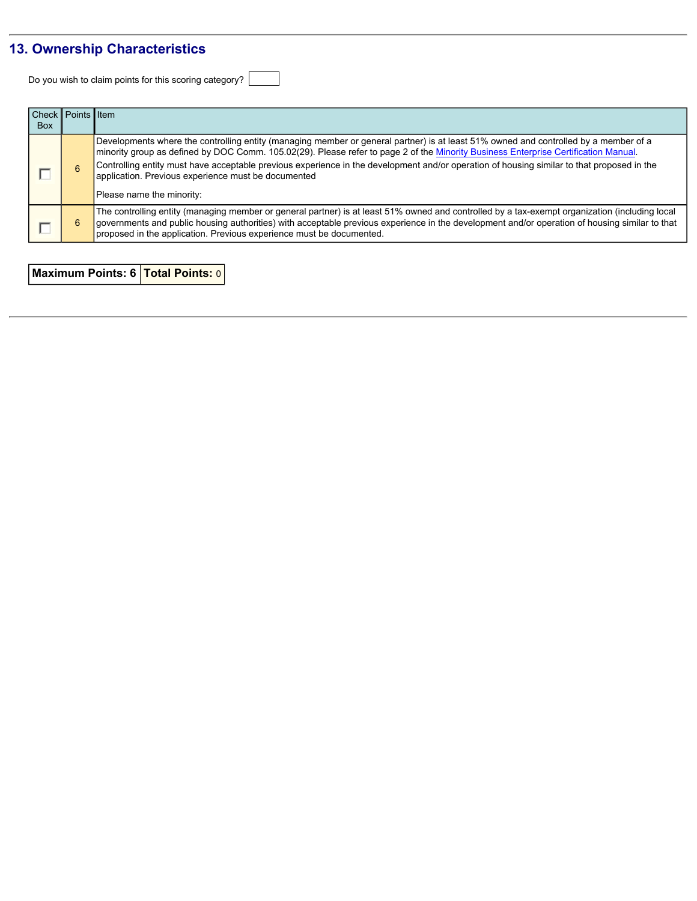# **13. Ownership Characteristics**

Do you wish to claim points for this scoring category?  $\square$ 

| <b>Box</b> | l Check <b>I</b> Points IItem |                                                                                                                                                                                                                                                                                                                                                                                                                                                                                                               |
|------------|-------------------------------|---------------------------------------------------------------------------------------------------------------------------------------------------------------------------------------------------------------------------------------------------------------------------------------------------------------------------------------------------------------------------------------------------------------------------------------------------------------------------------------------------------------|
|            | 6                             | Developments where the controlling entity (managing member or general partner) is at least 51% owned and controlled by a member of a<br>minority group as defined by DOC Comm. 105.02(29). Please refer to page 2 of the Minority Business Enterprise Certification Manual.<br>Controlling entity must have acceptable previous experience in the development and/or operation of housing similar to that proposed in the<br>application. Previous experience must be documented<br>Please name the minority: |
|            |                               | The controlling entity (managing member or general partner) is at least 51% owned and controlled by a tax-exempt organization (including local<br>governments and public housing authorities) with acceptable previous experience in the development and/or operation of housing similar to that<br>proposed in the application. Previous experience must be documented.                                                                                                                                      |

 $\overline{\phantom{a}}$ 

**Maximum Points: 6 Total Points:** 0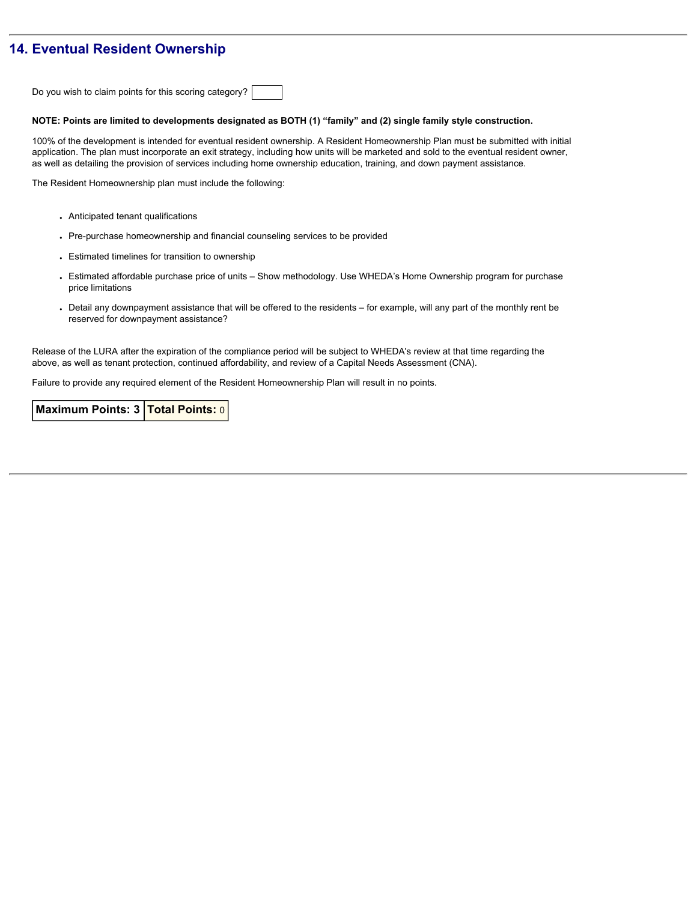#### **14. Eventual Resident Ownership**

Do you wish to claim points for this scoring category?

#### **NOTE: Points are limited to developments designated as BOTH (1) "family" and (2) single family style construction.**

100% of the development is intended for eventual resident ownership. A Resident Homeownership Plan must be submitted with initial application. The plan must incorporate an exit strategy, including how units will be marketed and sold to the eventual resident owner, as well as detailing the provision of services including home ownership education, training, and down payment assistance.

The Resident Homeownership plan must include the following:

- Anticipated tenant qualifications
- Pre-purchase homeownership and financial counseling services to be provided
- Estimated timelines for transition to ownership
- Estimated affordable purchase price of units Show methodology. Use WHEDA's Home Ownership program for purchase price limitations
- Detail any downpayment assistance that will be offered to the residents for example, will any part of the monthly rent be reserved for downpayment assistance?

Release of the LURA after the expiration of the compliance period will be subject to WHEDA's review at that time regarding the above, as well as tenant protection, continued affordability, and review of a Capital Needs Assessment (CNA).

Failure to provide any required element of the Resident Homeownership Plan will result in no points.

#### **Maximum Points: 3 Total Points: 0**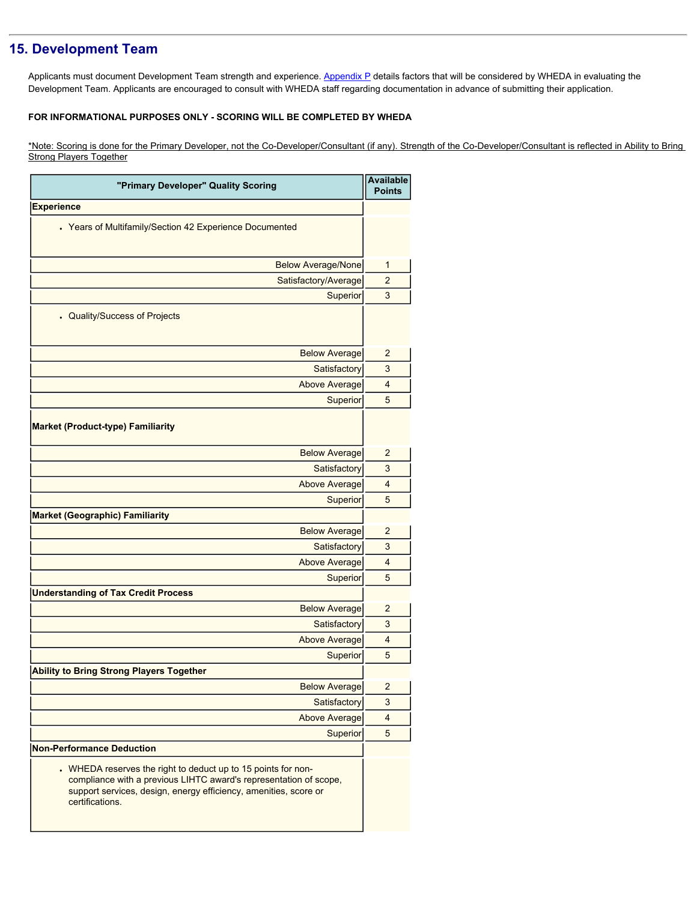#### **15. Development Team**

Applicants must document Development Team strength and experience. [Appendix P](https://www.wheda.com/TCA_Appendices_09/Appx%20P_09.pdf) details factors that will be considered by WHEDA in evaluating the Development Team. Applicants are encouraged to consult with WHEDA staff regarding documentation in advance of submitting their application.

#### **FOR INFORMATIONAL PURPOSES ONLY - SCORING WILL BE COMPLETED BY WHEDA**

\*Note: Scoring is done for the Primary Developer, not the Co-Developer/Consultant (if any). Strength of the Co-Developer/Consultant is reflected in Ability to Bring **Strong Players Together** 

| "Primary Developer" Quality Scoring                                                                                                                                                                                       | <b>Available</b><br><b>Points</b> |
|---------------------------------------------------------------------------------------------------------------------------------------------------------------------------------------------------------------------------|-----------------------------------|
| <b>Experience</b>                                                                                                                                                                                                         |                                   |
| • Years of Multifamily/Section 42 Experience Documented                                                                                                                                                                   |                                   |
| <b>Below Average/None</b>                                                                                                                                                                                                 | 1                                 |
| Satisfactory/Average                                                                                                                                                                                                      | 2                                 |
| Superior                                                                                                                                                                                                                  | 3                                 |
| • Quality/Success of Projects                                                                                                                                                                                             |                                   |
| <b>Below Average</b>                                                                                                                                                                                                      | 2                                 |
| Satisfactory                                                                                                                                                                                                              | 3                                 |
| <b>Above Average</b>                                                                                                                                                                                                      | 4                                 |
| Superior                                                                                                                                                                                                                  | 5                                 |
| <b>Market (Product-type) Familiarity</b>                                                                                                                                                                                  |                                   |
| <b>Below Average</b>                                                                                                                                                                                                      | 2                                 |
| Satisfactory                                                                                                                                                                                                              | 3                                 |
| <b>Above Average</b>                                                                                                                                                                                                      | 4                                 |
| Superior                                                                                                                                                                                                                  | 5                                 |
| <b>Market (Geographic) Familiarity</b>                                                                                                                                                                                    |                                   |
| <b>Below Average</b>                                                                                                                                                                                                      | 2                                 |
| Satisfactory                                                                                                                                                                                                              | 3                                 |
| <b>Above Average</b>                                                                                                                                                                                                      | 4                                 |
| Superior                                                                                                                                                                                                                  | 5                                 |
| <b>Understanding of Tax Credit Process</b>                                                                                                                                                                                |                                   |
| <b>Below Average</b>                                                                                                                                                                                                      | 2                                 |
| Satisfactory                                                                                                                                                                                                              | 3                                 |
| <b>Above Average</b>                                                                                                                                                                                                      | 4<br>5                            |
| Superior<br><b>Ability to Bring Strong Players Together</b>                                                                                                                                                               |                                   |
| <b>Below Average</b>                                                                                                                                                                                                      | 2                                 |
| Satisfactory                                                                                                                                                                                                              | 3                                 |
| <b>Above Average</b>                                                                                                                                                                                                      | 4                                 |
| Superior                                                                                                                                                                                                                  | 5                                 |
| <b>Non-Performance Deduction</b>                                                                                                                                                                                          |                                   |
| • WHEDA reserves the right to deduct up to 15 points for non-<br>compliance with a previous LIHTC award's representation of scope,<br>support services, design, energy efficiency, amenities, score or<br>certifications. |                                   |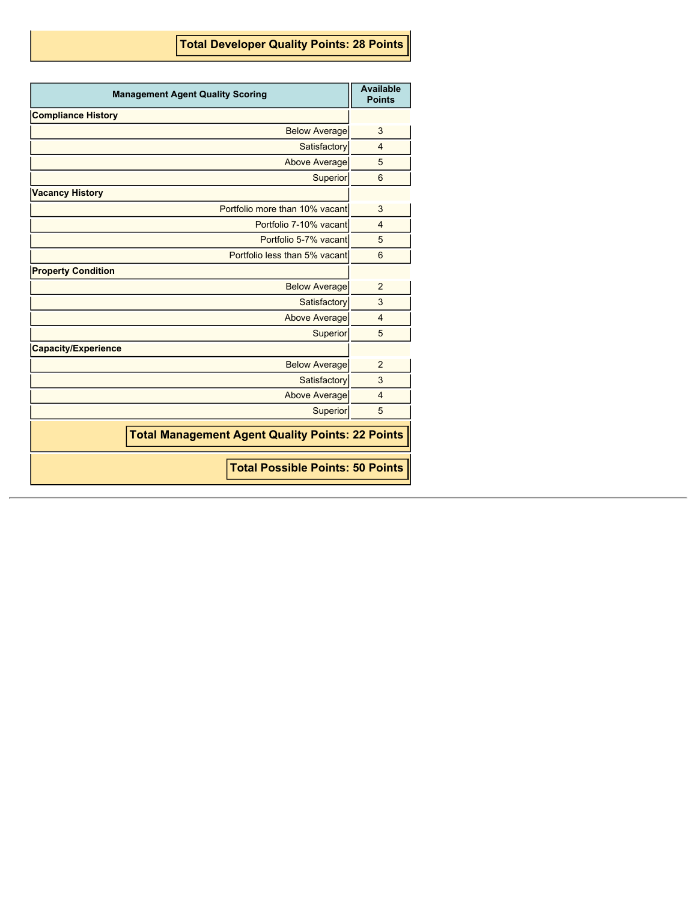# **Total Developer Quality Points: 28 Points**

| <b>Management Agent Quality Scoring</b>                 | <b>Available</b><br><b>Points</b> |
|---------------------------------------------------------|-----------------------------------|
| <b>Compliance History</b>                               |                                   |
| <b>Below Average</b>                                    | 3                                 |
| Satisfactory                                            | $\overline{4}$                    |
| Above Average                                           | 5                                 |
| Superior                                                | 6                                 |
| <b>Vacancy History</b>                                  |                                   |
| Portfolio more than 10% vacant                          | 3                                 |
| Portfolio 7-10% vacant                                  | $\overline{4}$                    |
| Portfolio 5-7% vacant                                   | 5                                 |
| Portfolio less than 5% vacant                           | 6                                 |
| <b>Property Condition</b>                               |                                   |
| <b>Below Average</b>                                    | $\overline{2}$                    |
| Satisfactory                                            | 3                                 |
| <b>Above Average</b>                                    | $\overline{4}$                    |
| Superior                                                | 5                                 |
| <b>Capacity/Experience</b>                              |                                   |
| <b>Below Average</b>                                    | 2                                 |
| Satisfactory                                            | 3                                 |
| <b>Above Average</b>                                    | $\overline{4}$                    |
| Superior                                                | 5                                 |
| <b>Total Management Agent Quality Points: 22 Points</b> |                                   |
| <b>Total Possible Points: 50 Points</b>                 |                                   |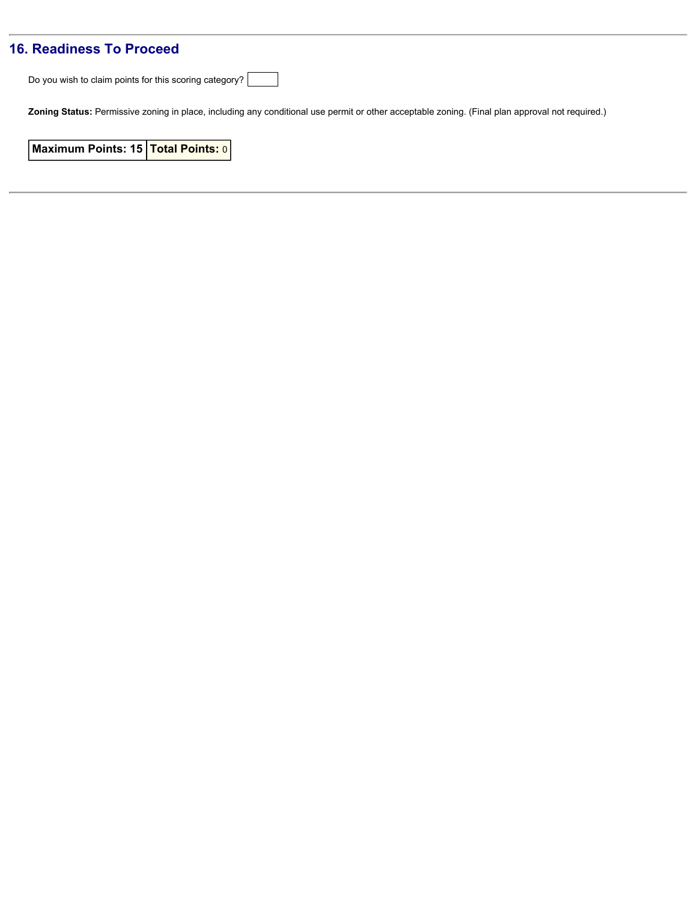# **16. Readiness To Proceed**

Do you wish to claim points for this scoring category? [

**Zoning Status:** Permissive zoning in place, including any conditional use permit or other acceptable zoning. (Final plan approval not required.)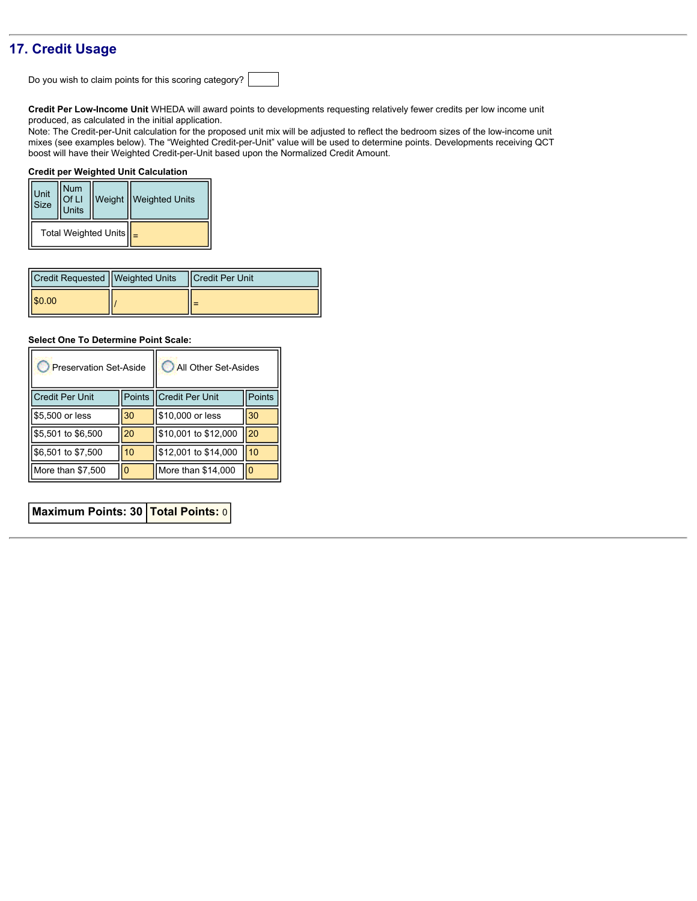## **17. Credit Usage**

Do you wish to claim points for this scoring category?

**Credit Per Low-Income Unit** WHEDA will award points to developments requesting relatively fewer credits per low income unit produced, as calculated in the initial application.

Note: The Credit-per-Unit calculation for the proposed unit mix will be adjusted to reflect the bedroom sizes of the low-income unit mixes (see examples below). The "Weighted Credit-per-Unit" value will be used to determine points. Developments receiving QCT boost will have their Weighted Credit-per-Unit based upon the Normalized Credit Amount.

#### **Credit per Weighted Unit Calculation**

| Unit Num<br>Size Of LI<br>Units |                      | Weight   Weighted Units |
|---------------------------------|----------------------|-------------------------|
|                                 | Total Weighted Units |                         |

| Credit Requested   Weighted Units | <b>Il Credit Per Unit</b> |
|-----------------------------------|---------------------------|
| $\sqrt{ }$ \$0.00                 |                           |

#### **Select One To Determine Point Scale:**

| <b>Preservation Set-Aside</b> |    | All Other Set-Asides      |           |
|-------------------------------|----|---------------------------|-----------|
| <b>Credit Per Unit</b>        |    | Points    Credit Per Unit | Points    |
| \$5,500 or less               | 30 | \$10,000 or less          | 30        |
| \$5,501 to \$6,500            | 20 | \$10,001 to \$12,000      | 120       |
| \$6,501 to \$7,500            | 10 | \$12,001 to \$14,000      | 110       |
| More than \$7,500             | I٥ | More than \$14,000        | $\bullet$ |

| Maximum Points: 30 Total Points: 0 |  |
|------------------------------------|--|
|------------------------------------|--|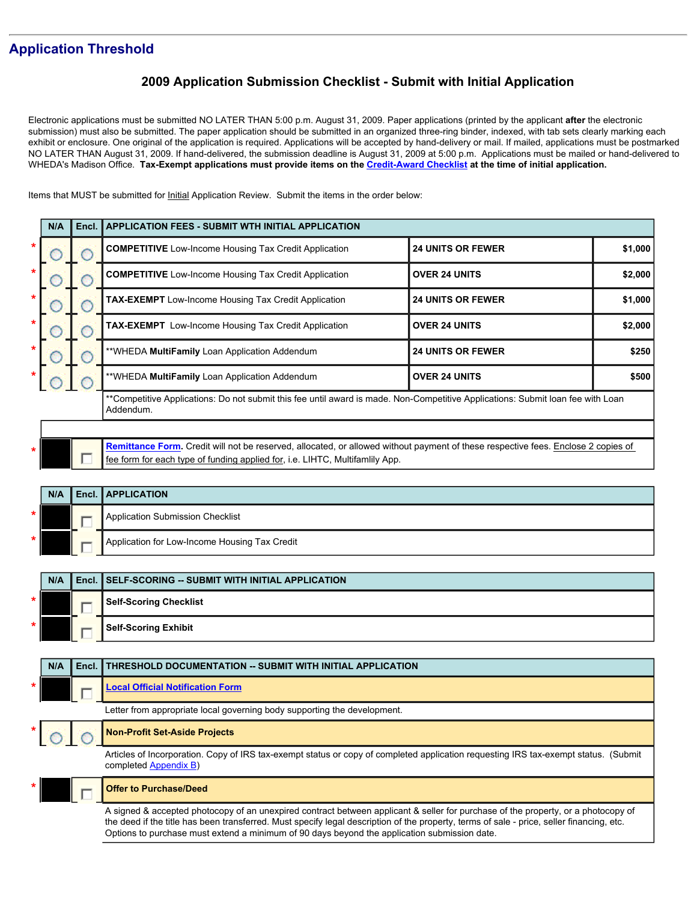### **Application Threshold**

### **2009 Application Submission Checklist - Submit with Initial Application**

Electronic applications must be submitted NO LATER THAN 5:00 p.m. August 31, 2009. Paper applications (printed by the applicant **after** the electronic submission) must also be submitted. The paper application should be submitted in an organized three-ring binder, indexed, with tab sets clearly marking each exhibit or enclosure. One original of the application is required. Applications will be accepted by hand-delivery or mail. If mailed, applications must be postmarked NO LATER THAN August 31, 2009. If hand-delivered, the submission deadline is August 31, 2009 at 5:00 p.m. Applications must be mailed or hand-delivered to WHEDA's Madison Office. **Tax-Exempt applications must provide items on the [Credit-Award Checklist](https://www.wheda.com/TCA_Appendices_09/Post%20Award%20Checklist_09.pdf) at the time of initial application.**

Items that MUST be submitted for Initial Application Review. Submit the items in the order below:

|         | N/A | Encl. | <b>APPLICATION FEES - SUBMIT WTH INITIAL APPLICATION</b>                                                                                     |                          |         |
|---------|-----|-------|----------------------------------------------------------------------------------------------------------------------------------------------|--------------------------|---------|
| $\star$ |     |       | <b>COMPETITIVE</b> Low-Income Housing Tax Credit Application                                                                                 | <b>24 UNITS OR FEWER</b> | \$1,000 |
| $\star$ |     |       | <b>COMPETITIVE</b> Low-Income Housing Tax Credit Application                                                                                 | <b>OVER 24 UNITS</b>     | \$2,000 |
| $\star$ |     |       | <b>TAX-EXEMPT</b> Low-Income Housing Tax Credit Application                                                                                  | <b>24 UNITS OR FEWER</b> | \$1,000 |
| $\star$ |     |       | TAX-EXEMPT Low-Income Housing Tax Credit Application                                                                                         | <b>OVER 24 UNITS</b>     | \$2,000 |
| $\star$ |     |       | **WHEDA MultiFamily Loan Application Addendum                                                                                                | <b>24 UNITS OR FEWER</b> | \$250   |
|         |     |       | **WHEDA MultiFamily Loan Application Addendum                                                                                                | <b>OVER 24 UNITS</b>     | \$500   |
|         |     |       | **Competitive Applications: Do not submit this fee until award is made. Non-Competitive Applications: Submit loan fee with Loan<br>Addendum. |                          |         |



|           | N/A | <b>Encl.   APPLICATION</b>                    |
|-----------|-----|-----------------------------------------------|
| $\star$ 1 |     | Application Submission Checklist              |
| $\star$ I |     | Application for Low-Income Housing Tax Credit |

|     | N/A | Encl. SELF-SCORING -- SUBMIT WITH INITIAL APPLICATION |
|-----|-----|-------------------------------------------------------|
|     |     | Self-Scoring Checklist                                |
| жIJ |     | Self-Scoring Exhibit                                  |

| N/A | Encl. | THRESHOLD DOCUMENTATION -- SUBMIT WITH INITIAL APPLICATION                                                                                                                                                                                                                     |
|-----|-------|--------------------------------------------------------------------------------------------------------------------------------------------------------------------------------------------------------------------------------------------------------------------------------|
|     |       | <b>Local Official Notification Form</b>                                                                                                                                                                                                                                        |
|     |       | Letter from appropriate local governing body supporting the development.                                                                                                                                                                                                       |
|     |       | Non-Profit Set-Aside Projects                                                                                                                                                                                                                                                  |
|     |       | Articles of Incorporation. Copy of IRS tax-exempt status or copy of completed application requesting IRS tax-exempt status. (Submit<br>completed Appendix B)                                                                                                                   |
|     |       | <b>Offer to Purchase/Deed</b>                                                                                                                                                                                                                                                  |
|     |       | A signed & accepted photocopy of an unexpired contract between applicant & seller for purchase of the property, or a photocopy of<br>the deed if the title has been transferred. Must specify legal description of the property, terms of sale - price, seller financing, etc. |

Options to purchase must extend a minimum of 90 days beyond the application submission date.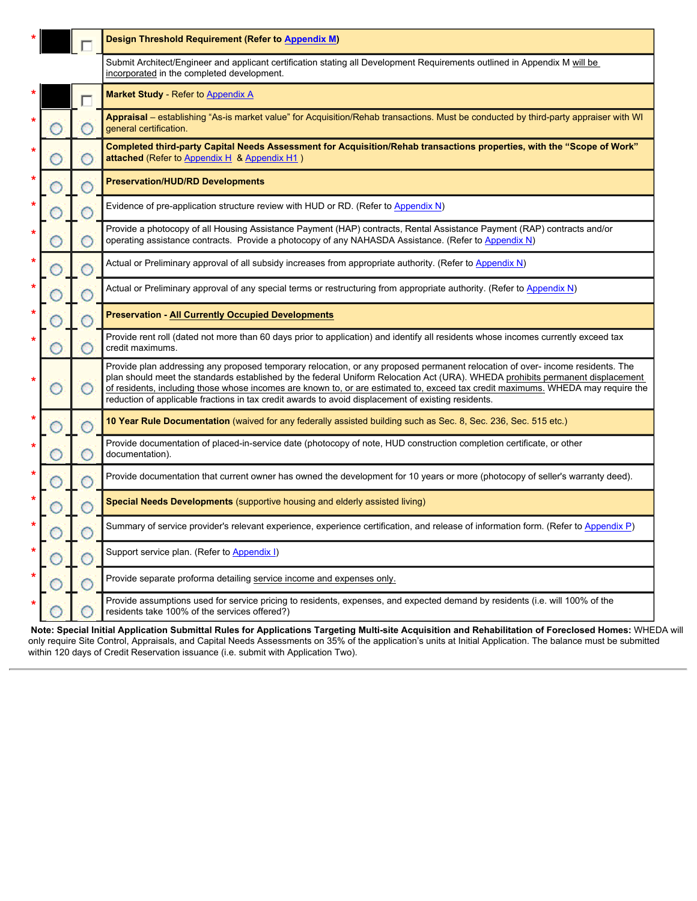|  | <b>Design Threshold Requirement (Refer to Appendix M)</b>                                                                                                                                                                                                                                                                                                                                                                                                                                                   |
|--|-------------------------------------------------------------------------------------------------------------------------------------------------------------------------------------------------------------------------------------------------------------------------------------------------------------------------------------------------------------------------------------------------------------------------------------------------------------------------------------------------------------|
|  | Submit Architect/Engineer and applicant certification stating all Development Requirements outlined in Appendix M will be<br>incorporated in the completed development.                                                                                                                                                                                                                                                                                                                                     |
|  | <b>Market Study - Refer to Appendix A</b>                                                                                                                                                                                                                                                                                                                                                                                                                                                                   |
|  | Appraisal - establishing "As-is market value" for Acquisition/Rehab transactions. Must be conducted by third-party appraiser with WI<br>general certification.                                                                                                                                                                                                                                                                                                                                              |
|  | Completed third-party Capital Needs Assessment for Acquisition/Rehab transactions properties, with the "Scope of Work"<br>attached (Refer to Appendix H & Appendix H1)                                                                                                                                                                                                                                                                                                                                      |
|  | <b>Preservation/HUD/RD Developments</b>                                                                                                                                                                                                                                                                                                                                                                                                                                                                     |
|  | Evidence of pre-application structure review with HUD or RD. (Refer to Appendix N)                                                                                                                                                                                                                                                                                                                                                                                                                          |
|  | Provide a photocopy of all Housing Assistance Payment (HAP) contracts, Rental Assistance Payment (RAP) contracts and/or<br>operating assistance contracts. Provide a photocopy of any NAHASDA Assistance. (Refer to Appendix N)                                                                                                                                                                                                                                                                             |
|  | Actual or Preliminary approval of all subsidy increases from appropriate authority. (Refer to Appendix N)                                                                                                                                                                                                                                                                                                                                                                                                   |
|  | Actual or Preliminary approval of any special terms or restructuring from appropriate authority. (Refer to Appendix N)                                                                                                                                                                                                                                                                                                                                                                                      |
|  | <b>Preservation - All Currently Occupied Developments</b>                                                                                                                                                                                                                                                                                                                                                                                                                                                   |
|  | Provide rent roll (dated not more than 60 days prior to application) and identify all residents whose incomes currently exceed tax<br>credit maximums.                                                                                                                                                                                                                                                                                                                                                      |
|  | Provide plan addressing any proposed temporary relocation, or any proposed permanent relocation of over- income residents. The<br>plan should meet the standards established by the federal Uniform Relocation Act (URA). WHEDA prohibits permanent displacement<br>of residents, including those whose incomes are known to, or are estimated to, exceed tax credit maximums. WHEDA may require the<br>reduction of applicable fractions in tax credit awards to avoid displacement of existing residents. |
|  | 10 Year Rule Documentation (waived for any federally assisted building such as Sec. 8, Sec. 236, Sec. 515 etc.)                                                                                                                                                                                                                                                                                                                                                                                             |
|  | Provide documentation of placed-in-service date (photocopy of note, HUD construction completion certificate, or other<br>documentation).                                                                                                                                                                                                                                                                                                                                                                    |
|  | Provide documentation that current owner has owned the development for 10 years or more (photocopy of seller's warranty deed).                                                                                                                                                                                                                                                                                                                                                                              |
|  | Special Needs Developments (supportive housing and elderly assisted living)                                                                                                                                                                                                                                                                                                                                                                                                                                 |
|  | Summary of service provider's relevant experience, experience certification, and release of information form. (Refer to Appendix P)                                                                                                                                                                                                                                                                                                                                                                         |
|  | Support service plan. (Refer to Appendix I)                                                                                                                                                                                                                                                                                                                                                                                                                                                                 |
|  | Provide separate proforma detailing service income and expenses only.                                                                                                                                                                                                                                                                                                                                                                                                                                       |
|  | Provide assumptions used for service pricing to residents, expenses, and expected demand by residents (i.e. will 100% of the<br>residents take 100% of the services offered?)                                                                                                                                                                                                                                                                                                                               |

**Note: Special Initial Application Submittal Rules for Applications Targeting Multi-site Acquisition and Rehabilitation of Foreclosed Homes:** WHEDA will only require Site Control, Appraisals, and Capital Needs Assessments on 35% of the application's units at Initial Application. The balance must be submitted within 120 days of Credit Reservation issuance (i.e. submit with Application Two).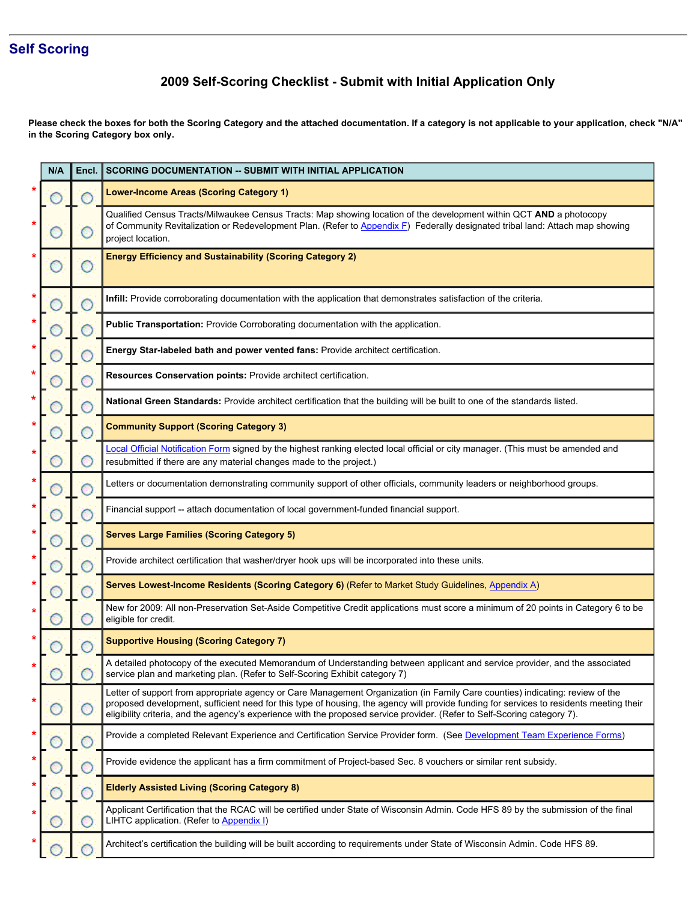### **Self Scoring**

### **2009 Self-Scoring Checklist - Submit with Initial Application Only**

**Please check the boxes for both the Scoring Category and the attached documentation. If a category is not applicable to your application, check "N/A" in the Scoring Category box only.**

|         | N/A | Encl. | <b>SCORING DOCUMENTATION -- SUBMIT WITH INITIAL APPLICATION</b>                                                                                                                                                                                                                                                                                                                                       |
|---------|-----|-------|-------------------------------------------------------------------------------------------------------------------------------------------------------------------------------------------------------------------------------------------------------------------------------------------------------------------------------------------------------------------------------------------------------|
|         |     |       | <b>Lower-Income Areas (Scoring Category 1)</b>                                                                                                                                                                                                                                                                                                                                                        |
| $\star$ |     |       | Qualified Census Tracts/Milwaukee Census Tracts: Map showing location of the development within QCT AND a photocopy<br>of Community Revitalization or Redevelopment Plan. (Refer to Appendix F) Federally designated tribal land: Attach map showing<br>project location.                                                                                                                             |
| *       |     |       | <b>Energy Efficiency and Sustainability (Scoring Category 2)</b>                                                                                                                                                                                                                                                                                                                                      |
|         |     |       | Infill: Provide corroborating documentation with the application that demonstrates satisfaction of the criteria.                                                                                                                                                                                                                                                                                      |
|         |     |       | Public Transportation: Provide Corroborating documentation with the application.                                                                                                                                                                                                                                                                                                                      |
|         |     |       | Energy Star-labeled bath and power vented fans: Provide architect certification.                                                                                                                                                                                                                                                                                                                      |
|         |     |       | Resources Conservation points: Provide architect certification.                                                                                                                                                                                                                                                                                                                                       |
|         |     |       | National Green Standards: Provide architect certification that the building will be built to one of the standards listed.                                                                                                                                                                                                                                                                             |
|         |     |       | <b>Community Support (Scoring Category 3)</b>                                                                                                                                                                                                                                                                                                                                                         |
|         |     |       | Local Official Notification Form signed by the highest ranking elected local official or city manager. (This must be amended and<br>resubmitted if there are any material changes made to the project.)                                                                                                                                                                                               |
|         |     |       | Letters or documentation demonstrating community support of other officials, community leaders or neighborhood groups.                                                                                                                                                                                                                                                                                |
|         |     |       | Financial support -- attach documentation of local government-funded financial support.                                                                                                                                                                                                                                                                                                               |
|         |     |       | <b>Serves Large Families (Scoring Category 5)</b>                                                                                                                                                                                                                                                                                                                                                     |
|         |     |       | Provide architect certification that washer/dryer hook ups will be incorporated into these units.                                                                                                                                                                                                                                                                                                     |
|         |     |       | Serves Lowest-Income Residents (Scoring Category 6) (Refer to Market Study Guidelines, Appendix A)                                                                                                                                                                                                                                                                                                    |
|         |     |       | New for 2009: All non-Preservation Set-Aside Competitive Credit applications must score a minimum of 20 points in Category 6 to be<br>eligible for credit.                                                                                                                                                                                                                                            |
|         |     |       | <b>Supportive Housing (Scoring Category 7)</b>                                                                                                                                                                                                                                                                                                                                                        |
|         |     |       | A detailed photocopy of the executed Memorandum of Understanding between applicant and service provider, and the associated<br>service plan and marketing plan. (Refer to Self-Scoring Exhibit category 7)                                                                                                                                                                                            |
| $\star$ |     |       | Letter of support from appropriate agency or Care Management Organization (in Family Care counties) indicating: review of the<br>proposed development, sufficient need for this type of housing, the agency will provide funding for services to residents meeting their<br>eligibility criteria, and the agency's experience with the proposed service provider. (Refer to Self-Scoring category 7). |
| *       |     |       | Provide a completed Relevant Experience and Certification Service Provider form. (See Development Team Experience Forms)                                                                                                                                                                                                                                                                              |
|         |     |       | Provide evidence the applicant has a firm commitment of Project-based Sec. 8 vouchers or similar rent subsidy.                                                                                                                                                                                                                                                                                        |
|         |     |       | <b>Elderly Assisted Living (Scoring Category 8)</b>                                                                                                                                                                                                                                                                                                                                                   |
|         |     |       | Applicant Certification that the RCAC will be certified under State of Wisconsin Admin. Code HFS 89 by the submission of the final<br>LIHTC application. (Refer to Appendix I)                                                                                                                                                                                                                        |
|         |     |       | Architect's certification the building will be built according to requirements under State of Wisconsin Admin. Code HFS 89.                                                                                                                                                                                                                                                                           |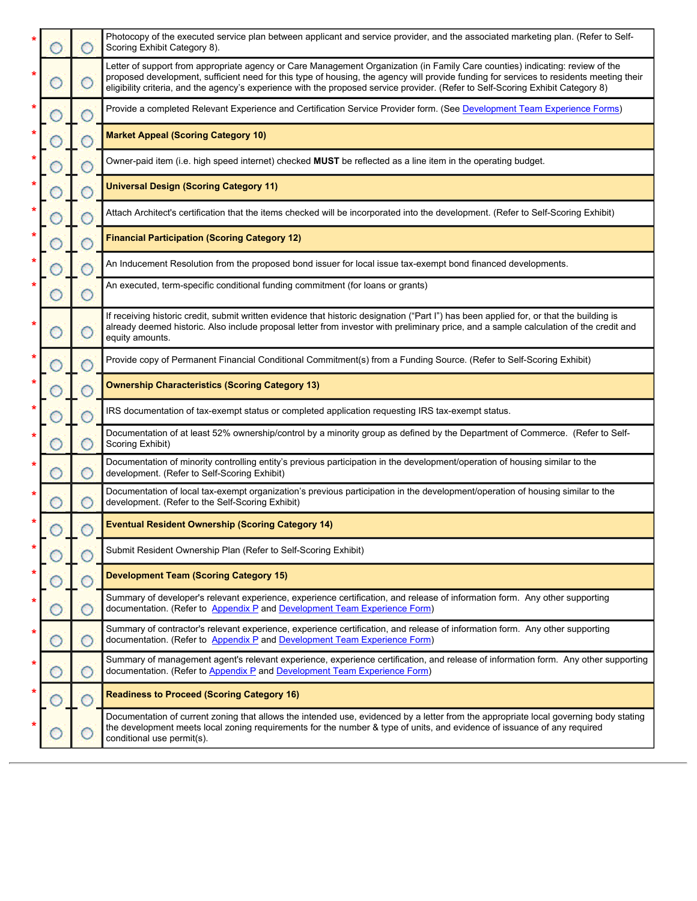|        |   | Photocopy of the executed service plan between applicant and service provider, and the associated marketing plan. (Refer to Self-<br>Scoring Exhibit Category 8).                                                                                                                                                                                                                                            |
|--------|---|--------------------------------------------------------------------------------------------------------------------------------------------------------------------------------------------------------------------------------------------------------------------------------------------------------------------------------------------------------------------------------------------------------------|
| *      |   | Letter of support from appropriate agency or Care Management Organization (in Family Care counties) indicating: review of the<br>proposed development, sufficient need for this type of housing, the agency will provide funding for services to residents meeting their<br>eligibility criteria, and the agency's experience with the proposed service provider. (Refer to Self-Scoring Exhibit Category 8) |
|        |   | Provide a completed Relevant Experience and Certification Service Provider form. (See Development Team Experience Forms)                                                                                                                                                                                                                                                                                     |
|        |   | <b>Market Appeal (Scoring Category 10)</b>                                                                                                                                                                                                                                                                                                                                                                   |
|        |   | Owner-paid item (i.e. high speed internet) checked MUST be reflected as a line item in the operating budget.                                                                                                                                                                                                                                                                                                 |
|        |   | <b>Universal Design (Scoring Category 11)</b>                                                                                                                                                                                                                                                                                                                                                                |
|        |   | Attach Architect's certification that the items checked will be incorporated into the development. (Refer to Self-Scoring Exhibit)                                                                                                                                                                                                                                                                           |
|        |   | <b>Financial Participation (Scoring Category 12)</b>                                                                                                                                                                                                                                                                                                                                                         |
|        |   | An Inducement Resolution from the proposed bond issuer for local issue tax-exempt bond financed developments.                                                                                                                                                                                                                                                                                                |
|        |   | An executed, term-specific conditional funding commitment (for loans or grants)                                                                                                                                                                                                                                                                                                                              |
| $\ast$ |   | If receiving historic credit, submit written evidence that historic designation ("Part I") has been applied for, or that the building is<br>already deemed historic. Also include proposal letter from investor with preliminary price, and a sample calculation of the credit and<br>equity amounts.                                                                                                        |
|        |   | Provide copy of Permanent Financial Conditional Commitment(s) from a Funding Source. (Refer to Self-Scoring Exhibit)                                                                                                                                                                                                                                                                                         |
|        |   | <b>Ownership Characteristics (Scoring Category 13)</b>                                                                                                                                                                                                                                                                                                                                                       |
|        |   | IRS documentation of tax-exempt status or completed application requesting IRS tax-exempt status.                                                                                                                                                                                                                                                                                                            |
|        |   | Documentation of at least 52% ownership/control by a minority group as defined by the Department of Commerce. (Refer to Self-<br>Scoring Exhibit)                                                                                                                                                                                                                                                            |
| *      | æ | Documentation of minority controlling entity's previous participation in the development/operation of housing similar to the<br>development. (Refer to Self-Scoring Exhibit)                                                                                                                                                                                                                                 |
|        |   | Documentation of local tax-exempt organization's previous participation in the development/operation of housing similar to the<br>development. (Refer to the Self-Scoring Exhibit)                                                                                                                                                                                                                           |
|        |   | <b>Eventual Resident Ownership (Scoring Category 14)</b>                                                                                                                                                                                                                                                                                                                                                     |
|        |   | Submit Resident Ownership Plan (Refer to Self-Scoring Exhibit)                                                                                                                                                                                                                                                                                                                                               |
|        |   | <b>Development Team (Scoring Category 15)</b>                                                                                                                                                                                                                                                                                                                                                                |
|        |   | Summary of developer's relevant experience, experience certification, and release of information form. Any other supporting<br>documentation. (Refer to Appendix P and Development Team Experience Form)                                                                                                                                                                                                     |
|        | O | Summary of contractor's relevant experience, experience certification, and release of information form. Any other supporting<br>documentation. (Refer to Appendix P and Development Team Experience Form)                                                                                                                                                                                                    |
| *      | ۰ | Summary of management agent's relevant experience, experience certification, and release of information form. Any other supporting<br>documentation. (Refer to Appendix P and Development Team Experience Form)                                                                                                                                                                                              |
| *      |   | <b>Readiness to Proceed (Scoring Category 16)</b>                                                                                                                                                                                                                                                                                                                                                            |
|        |   | Documentation of current zoning that allows the intended use, evidenced by a letter from the appropriate local governing body stating<br>the development meets local zoning requirements for the number & type of units, and evidence of issuance of any required<br>conditional use permit(s).                                                                                                              |